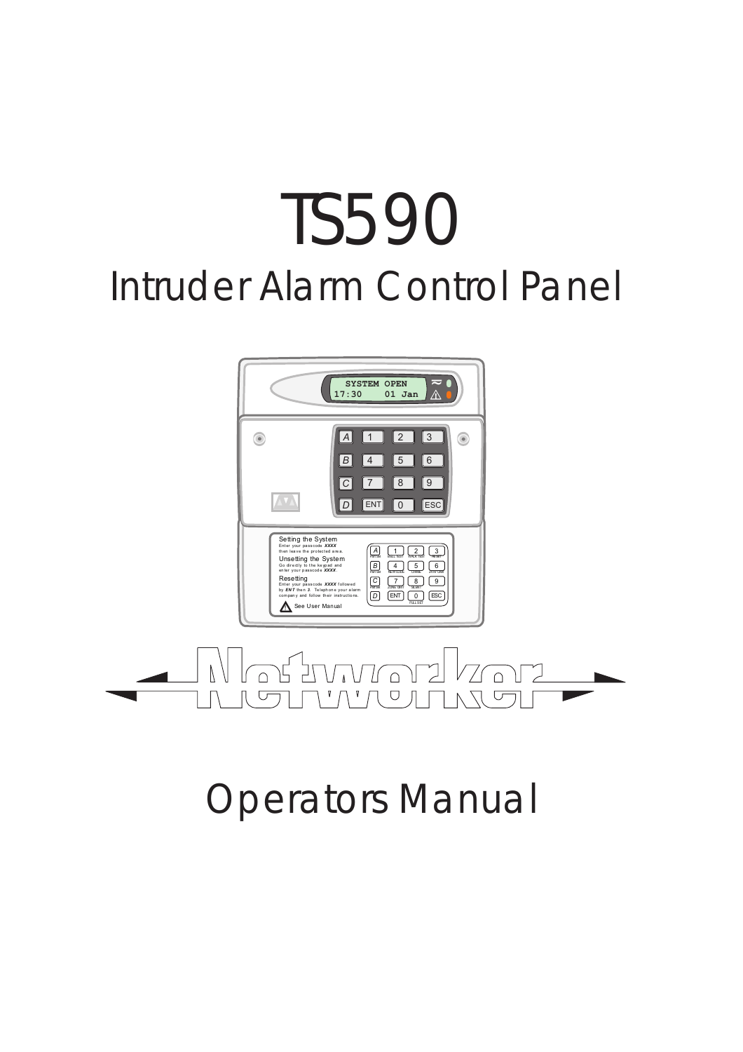# TS590 Intruder Alarm Control Panel





## Operators Manual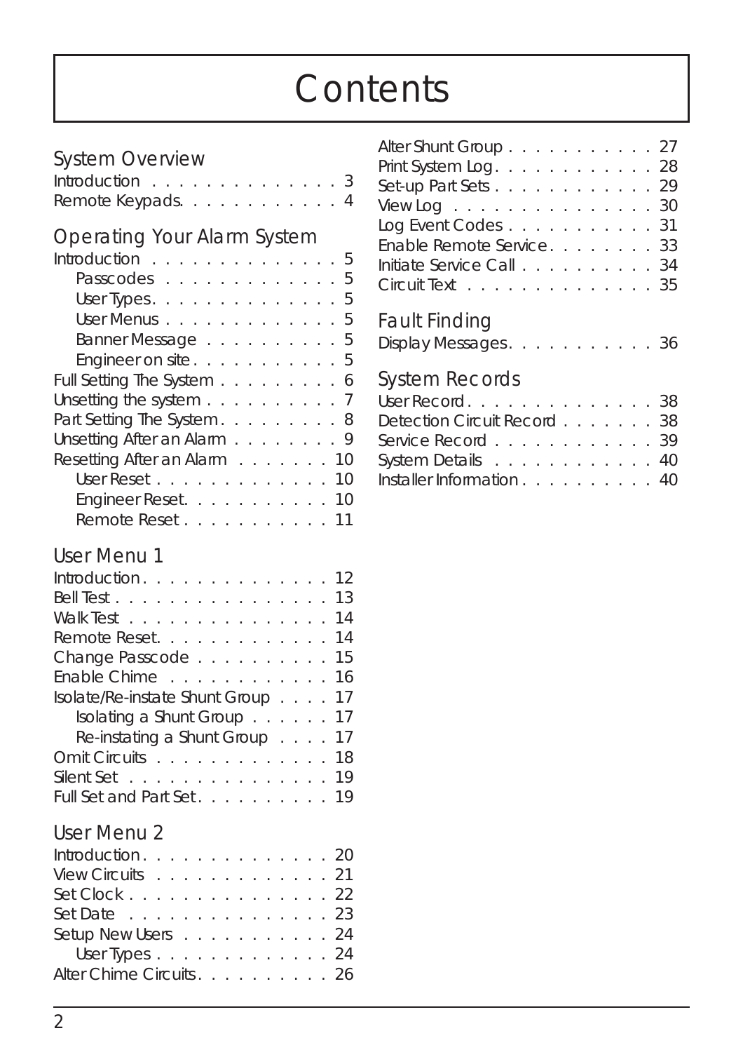## *Contents*

#### System Overview

| Introduction 3    |  |  |  |  |  |  |
|-------------------|--|--|--|--|--|--|
| Remote Keypads. 4 |  |  |  |  |  |  |

#### Operating Your Alarm System

| Introduction 5                                             |  |  |  |  |  |  |    |
|------------------------------------------------------------|--|--|--|--|--|--|----|
| Passcodes 5                                                |  |  |  |  |  |  |    |
| User Types. $\ldots$ $\ldots$ $\ldots$ $\ldots$ $\ldots$ 5 |  |  |  |  |  |  |    |
| User Menus 5                                               |  |  |  |  |  |  |    |
| Banner Message 5                                           |  |  |  |  |  |  |    |
| Engineer on site5                                          |  |  |  |  |  |  |    |
| Full Setting The System 6                                  |  |  |  |  |  |  |    |
| Unsetting the system $\ldots$ 7                            |  |  |  |  |  |  |    |
| Part Setting The System. 8                                 |  |  |  |  |  |  |    |
| Unsetting After an Alarm 9                                 |  |  |  |  |  |  |    |
| Resetting After an Alarm 10                                |  |  |  |  |  |  |    |
| User Reset                                                 |  |  |  |  |  |  | 10 |
| Engineer Reset. 10                                         |  |  |  |  |  |  |    |
| Remote Reset 11                                            |  |  |  |  |  |  |    |

#### User Menu 1

#### User Menu 2

| Introduction 20         |  |  |  |  |  |  |
|-------------------------|--|--|--|--|--|--|
| View Circuits 21        |  |  |  |  |  |  |
| Set Clock 22            |  |  |  |  |  |  |
| Set Date 23             |  |  |  |  |  |  |
| Setup New Users 24      |  |  |  |  |  |  |
| User Types 24           |  |  |  |  |  |  |
| Alter Chime Circuits 26 |  |  |  |  |  |  |

| Alter Shunt Group. 27                                    |  |  |  |  |  |
|----------------------------------------------------------|--|--|--|--|--|
| Print System Log. 28                                     |  |  |  |  |  |
| Set-up Part Sets 29                                      |  |  |  |  |  |
| View Log $\ldots$ $\ldots$ $\ldots$ $\ldots$ $\ldots$ 30 |  |  |  |  |  |
| Log Event Codes 31                                       |  |  |  |  |  |
| Enable Remote Service. 33                                |  |  |  |  |  |
| Initiate Service Call 34                                 |  |  |  |  |  |
| Circuit Text 35                                          |  |  |  |  |  |
|                                                          |  |  |  |  |  |

#### Fault Finding

| Display Messages. |  |  |  |  |  |  |  |  |  |  | -36 |
|-------------------|--|--|--|--|--|--|--|--|--|--|-----|
|-------------------|--|--|--|--|--|--|--|--|--|--|-----|

#### System Records

| User Record38               |  |  |  |  |
|-----------------------------|--|--|--|--|
| Detection Circuit Record 38 |  |  |  |  |
| Service Record 39           |  |  |  |  |
| System Details 40           |  |  |  |  |
| Installer Information 40    |  |  |  |  |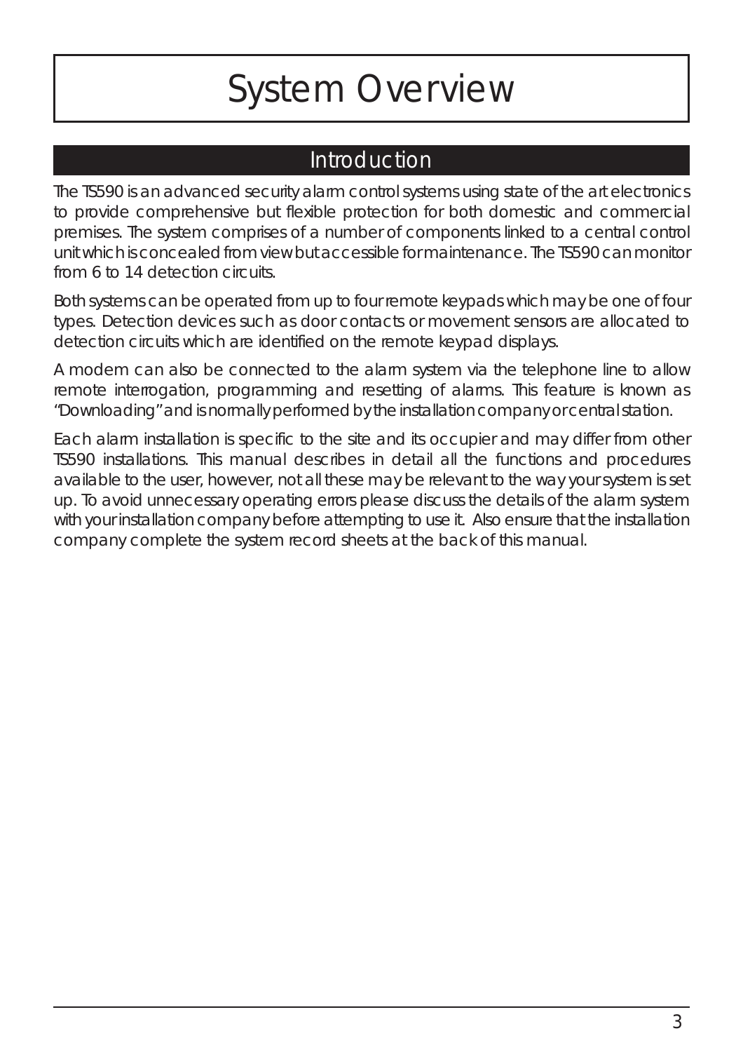## *System Overview*

#### Introduction

The TS590 is an advanced security alarm control systems using state of the art electronics to provide comprehensive but flexible protection for both domestic and commercial premises. The system comprises of a number of components linked to a central control unit which is concealed from view but accessible for maintenance. The TS590 can monitor from 6 to 14 detection circuits.

Both systems can be operated from up to four remote keypads which may be one of four types. Detection devices such as door contacts or movement sensors are allocated to detection circuits which are identified on the remote keypad displays.

A modem can also be connected to the alarm system via the telephone line to allow remote interrogation, programming and resetting of alarms. This feature is known as "Downloading" and is normally performed by the installation company or central station.

Each alarm installation is specific to the site and its occupier and may differ from other TS590 installations. This manual describes in detail all the functions and procedures available to the user, however, not all these may be relevant to the way your system is set up. To avoid unnecessary operating errors please discuss the details of the alarm system with your installation company before attempting to use it. Also ensure that the installation company complete the system record sheets at the back of this manual.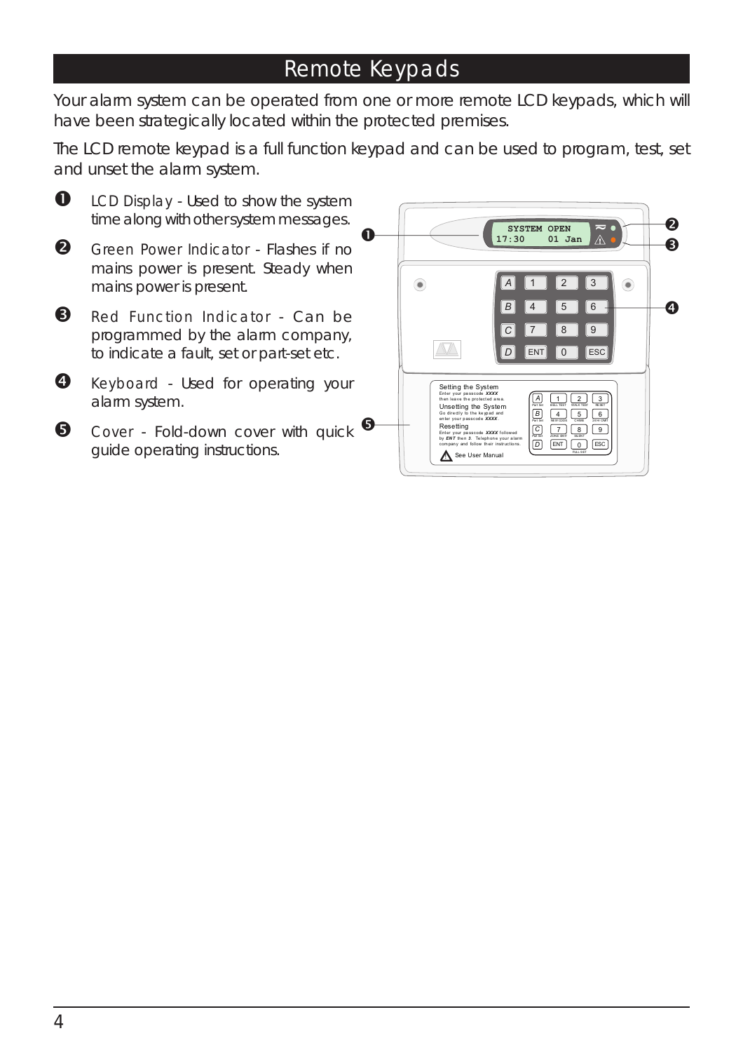#### Remote Keypads

Your alarm system can be operated from one or more remote LCD keypads, which will have been strategically located within the protected premises.

The LCD remote keypad is a full function keypad and can be used to program, test, set and unset the alarm system.



**O** LCD Display - Used to show the system time along with other system messages.

- $\boldsymbol{2}$  Green Power Indicator - Flashes if no mains power is present. Steady when mains power is present.
- **8** Red Function Indicator Can be programmed by the alarm company, to indicate a fault, set or part-set etc.
- **4** Keyboard Used for operating your alarm system.
- **6** Cover Fold-down cover with quick guide operating instructions.

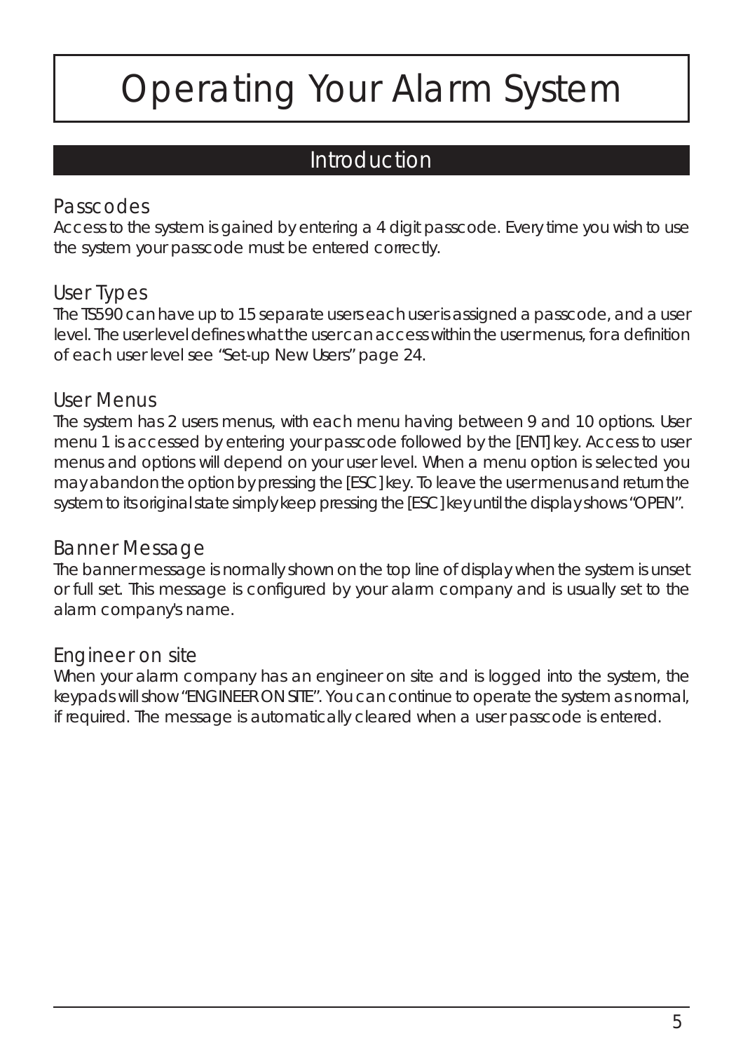## *Operating Your Alarm System*

#### Introduction

#### Passcodes

Access to the system is gained by entering a 4 digit passcode. Every time you wish to use the system your passcode must be entered correctly.

#### User Types

The TS590 can have up to 15 separate users each user is assigned a passcode, and a user level. The user level defines what the user can access within the user menus, for a definition of each user level *see "Set-up New Users" page 24*.

#### User Menus

The system has 2 users menus, with each menu having between 9 and 10 options. User menu 1 is accessed by entering your passcode followed by the [ENT] key. Access to user menus and options will depend on your user level. When a menu option is selected you may abandon the option by pressing the [ESC] key. To leave the user menus and return the system to its original state simply keep pressing the [ESC] key until the display shows "OPEN".

#### Banner Message

The banner message is normally shown on the top line of display when the system is unset or full set. This message is configured by your alarm company and is usually set to the alarm company's name.

#### Engineer on site

When your alarm company has an engineer on site and is logged into the system, the keypads will show "ENGINEER ON SITE". You can continue to operate the system as normal, if required. The message is automatically cleared when a user passcode is entered.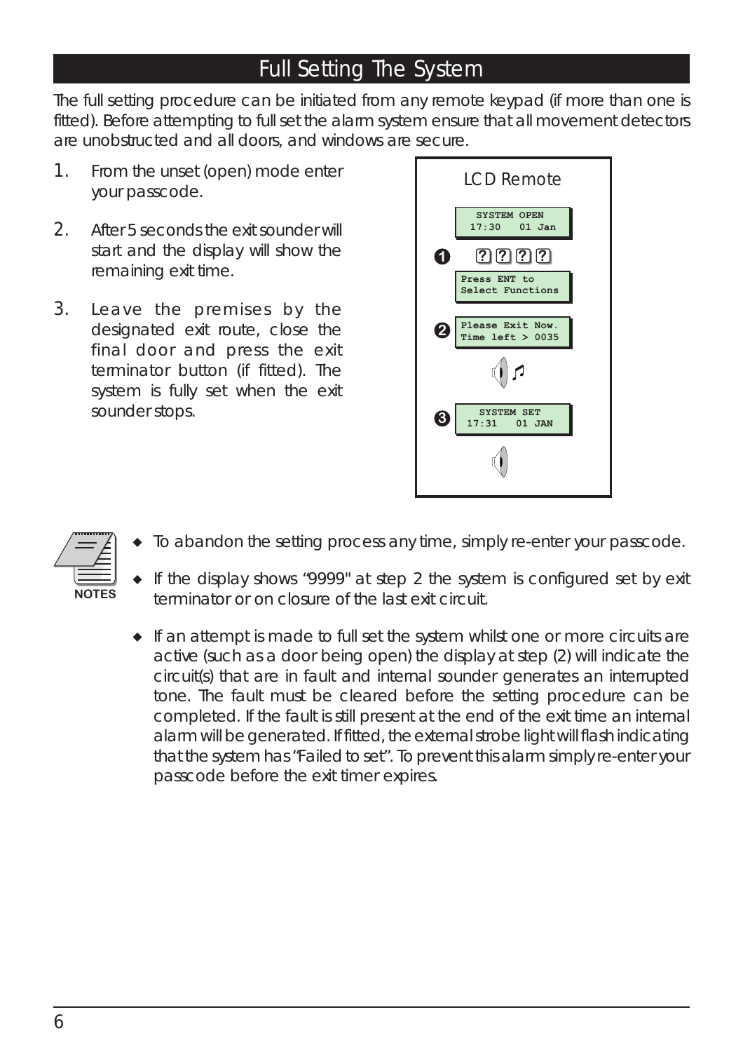#### Full Setting The System

The full setting procedure can be initiated from any remote keypad (if more than one is fitted). Before attempting to full set the alarm system ensure that all movement detectors are unobstructed and all doors, and windows are secure.

- 1. From the unset (open) mode enter your passcode.
- 2. After 5 seconds the exit sounder will start and the display will show the remaining exit time.
- 3. Leave the premises by the designated exit route, close the final door and press the exit terminator button (if fitted). The system is fully set when the exit sounder stops.





- *To abandon the setting process any time, simply re-enter your passcode.*
- *If the display shows "9999" at step 2 the system is configured set by exit terminator or on closure of the last exit circuit.*
- *If an attempt is made to full set the system whilst one or more circuits are active (such as a door being open) the display at step (2) will indicate the circuit(s) that are in fault and internal sounder generates an interrupted tone. The fault must be cleared before the setting procedure can be completed. If the fault is still present at the end of the exit time an internal alarm will be generated. If fitted, the external strobe light will flash indicating that the system has "Failed to set". To prevent this alarm simply re-enter your passcode before the exit timer expires.*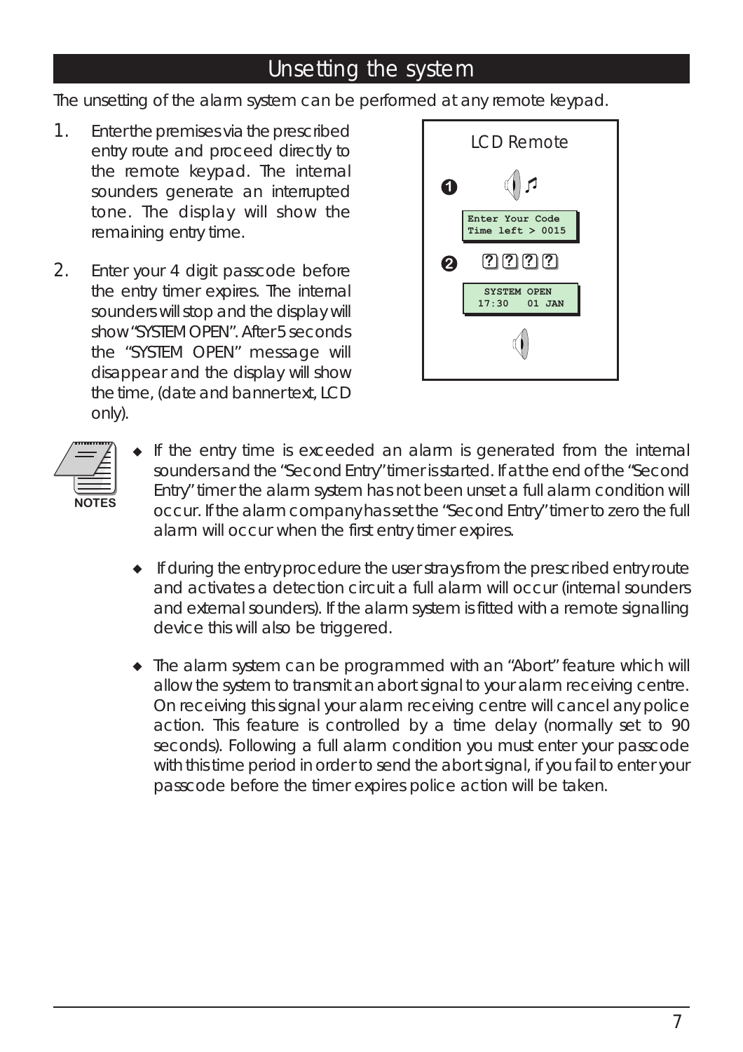#### Unsetting the system

The unsetting of the alarm system can be performed at any remote keypad.

- 1. Enter the premises via the prescribed entry route and proceed directly to the remote keypad. The internal sounders generate an interrupted tone. The display will show the remaining entry time.
- 2. Enter your 4 digit passcode before the entry timer expires. The internal sounders will stop and the display will show "SYSTEM OPEN". After 5 seconds the "SYSTEM OPEN" message will disappear and the display will show the time, (date and banner text, LCD only).



- **NOTES**
- *If the entry time is exceeded an alarm is generated from the internal sounders and the "Second Entry" timer is started. If at the end of the "Second Entry" timer the alarm system has not been unset a full alarm condition will occur. If the alarm company has set the "Second Entry" timer to zero the full alarm will occur when the first entry timer expires.*
- *If during the entry procedure the user strays from the prescribed entry route and activates a detection circuit a full alarm will occur (internal sounders and external sounders). If the alarm system is fitted with a remote signalling device this will also be triggered.*
- *The alarm system can be programmed with an "Abort" feature which will allow the system to transmit an abort signal to your alarm receiving centre. On receiving this signal your alarm receiving centre will cancel any police action. This feature is controlled by a time delay (normally set to 90 seconds). Following a full alarm condition you must enter your passcode with this time period in order to send the abort signal, if you fail to enter your passcode before the timer expires police action will be taken.*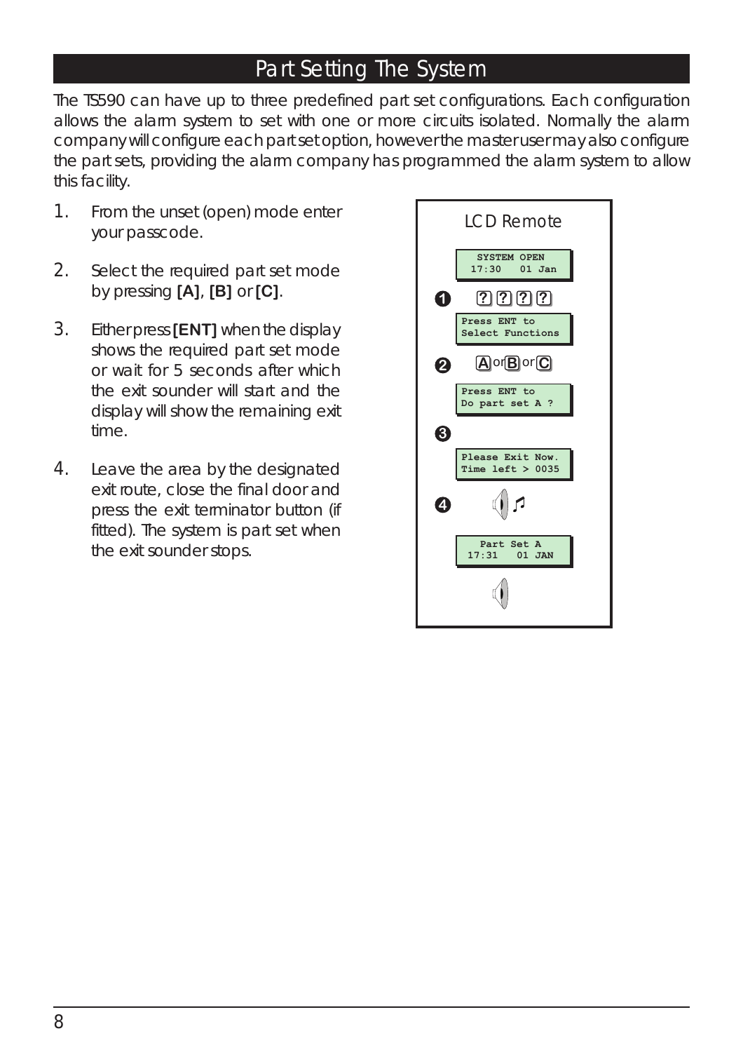#### Part Setting The System

The TS590 can have up to three predefined part set configurations. Each configuration allows the alarm system to set with one or more circuits isolated. Normally the alarm company will configure each part set option, however the master user may also configure the part sets, providing the alarm company has programmed the alarm system to allow this facility.

- 1. From the unset (open) mode enter your passcode.
- 2. Select the required part set mode by pressing **[A]**, **[B]** or **[C]**.
- 3. Either press**[ENT]** when the display shows the required part set mode or wait for 5 seconds after which the exit sounder will start and the display will show the remaining exit time.
- 4. Leave the area by the designated exit route, close the final door and press the exit terminator button (if fitted). The system is part set when the exit sounder stops.

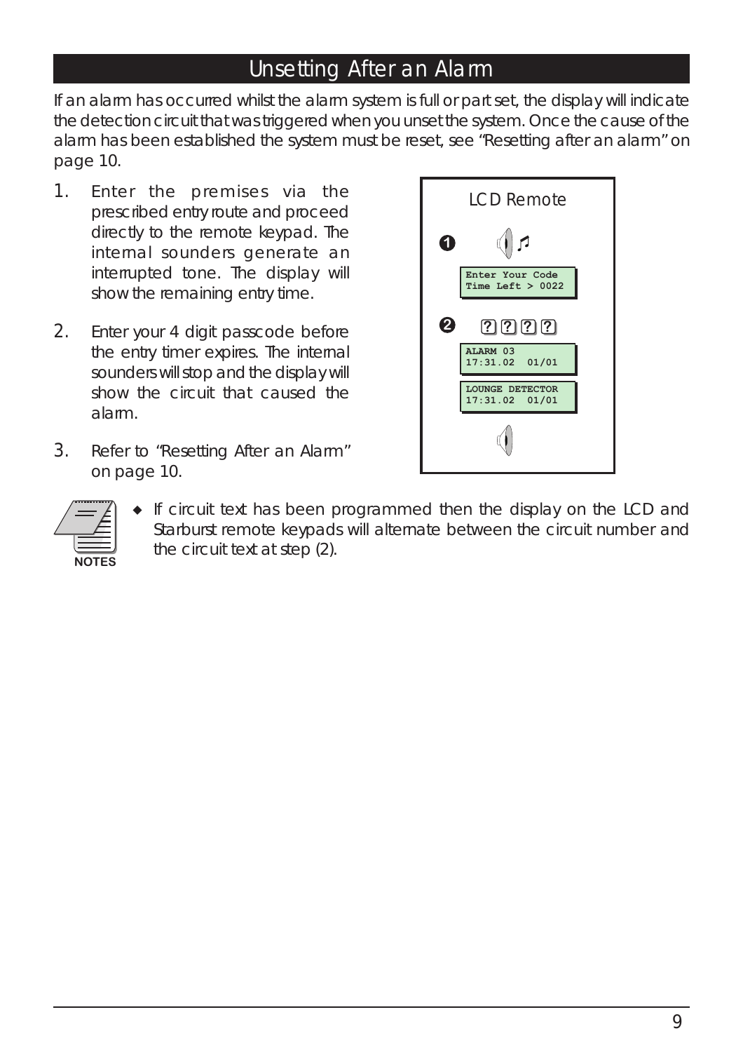#### Unsetting After an Alarm

If an alarm has occurred whilst the alarm system is full or part set, the display will indicate the detection circuit that was triggered when you unset the system. Once the cause of the alarm has been established the system must be reset, *see "Resetting after an alarm" on page 10.*

- 1. Enter the premises via the prescribed entry route and proceed directly to the remote keypad. The internal sounders generate an interrupted tone. The display will show the remaining entry time.
- 2. Enter your 4 digit passcode before the entry timer expires. The internal sounders will stop and the display will show the circuit that caused the alarm.
- 3. Refer to *"Resetting After an Alarm" on page 10.*





 *If circuit text has been programmed then the display on the LCD and Starburst remote keypads will alternate between the circuit number and the circuit text at step (2).*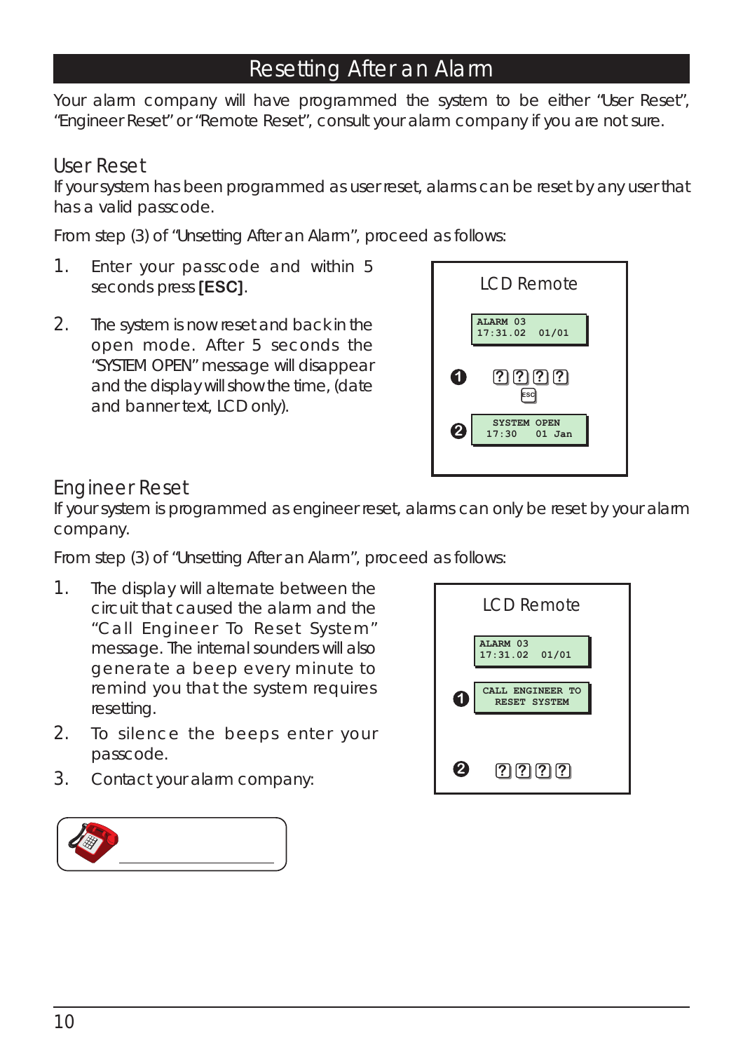#### Resetting After an Alarm

Your alarm company will have programmed the system to be either "User Reset", "Engineer Reset" or "Remote Reset", consult your alarm company if you are not sure.

#### User Reset

If your system has been programmed as user reset, alarms can be reset by any user that has a valid passcode.

From step (3) of "Unsetting After an Alarm", proceed as follows:

- 1. Enter your passcode and within 5 seconds press **[ESC]**.
- 2. The system is now reset and back in the open mode. After 5 seconds the "SYSTEM OPEN" message will disappear and the display will show the time, (date and banner text, LCD only).



#### Engineer Reset

If your system is programmed as engineer reset, alarms can only be reset by your alarm company.

From step (3) of "Unsetting After an Alarm", proceed as follows:

- 1. The display will alternate between the circuit that caused the alarm and the "Call Engineer To Reset System" message. The internal sounders will also generate a beep every minute to remind you that the system requires resetting.
- 2. To silence the beeps enter your passcode.
- 3. Contact your alarm company:



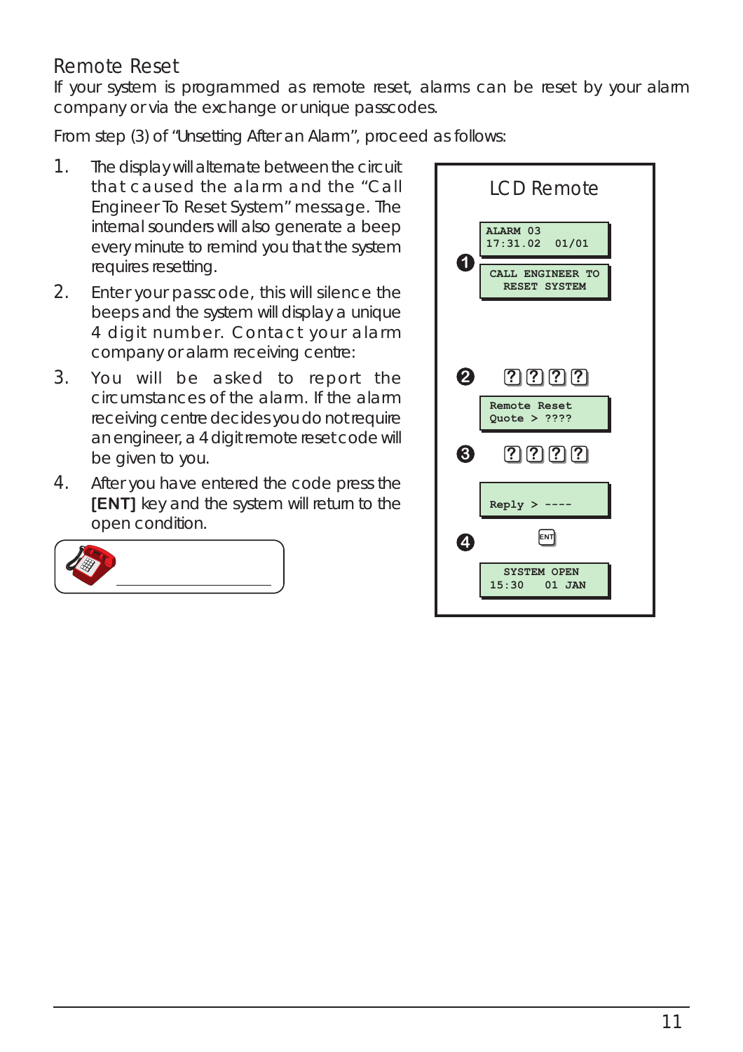#### Remote Reset

If your system is programmed as remote reset, alarms can be reset by your alarm company or via the exchange or unique passcodes.

From step (3) of "Unsetting After an Alarm", proceed as follows:

- 1. The display will alternate between the circuit that caused the alarm and the "Call Engineer To Reset System" message. The internal sounders will also generate a beep every minute to remind you that the system requires resetting.
- 2. Enter your passcode, this will silence the beeps and the system will display a unique 4 digit number. Contact your alarm company or alarm receiving centre:
- 3. You will be asked to report the circumstances of the alarm. If the alarm receiving centre decides you do not require an engineer, a 4 digit remote reset code will be given to you.
- 4. After you have entered the code press the **[ENT]** key and the system will return to the open condition.



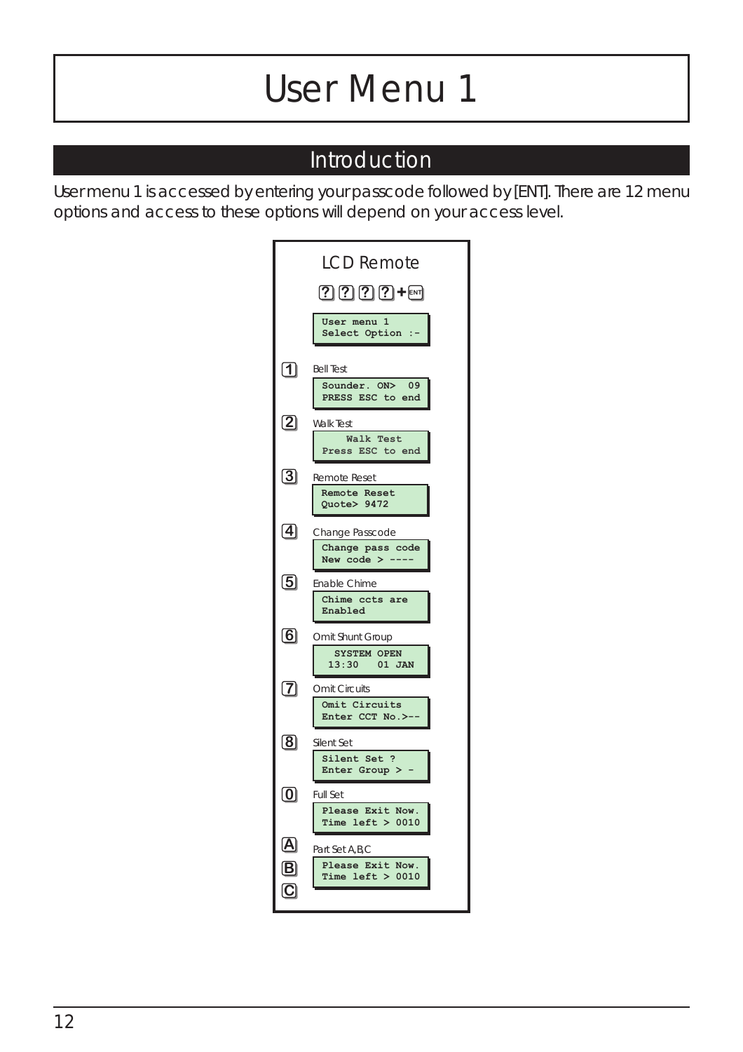## *User Menu 1*

#### Introduction

User menu 1 is accessed by entering your passcode followed by [ENT]. There are 12 menu options and access to these options will depend on your access level.

|                           | <b>LCD Remote</b>                                             |
|---------------------------|---------------------------------------------------------------|
|                           | $2222 + 5$                                                    |
|                           | User menu 1<br>Select Option :-                               |
| [1]                       | <b>Bell Test</b><br>Sounder. ON><br>09<br>PRESS ESC to end    |
| $\overline{\mathbf{2}}$   | <b>Walk Test</b><br><b>Walk Test</b><br>Press ESC to end      |
| $\bm{\mathsf{3}}$         | <b>Remote Reset</b><br>Remote Reset<br>Quote> 9472            |
| $\bm{[4]}$                | Change Passcode<br>Change pass code<br>New code $>$ --        |
| <u>ය</u>                  | Enable Chime<br>Chime ccts are<br>Enabled                     |
| $\left[ 6\right]$         | Omit Shunt Group<br><b>SYSTEM OPEN</b><br>13:30 01 JAN        |
| $\bm{[7]}$                | <b>Omit Circuits</b><br>Omit Circuits<br>Enter CCT No. >-     |
| $\bm{\mathsf{[8]}}$       | Silent Set<br>Silent Set ?<br>Enter Group >                   |
|                           | Full Set<br>Please Exit Now.<br>Time left $> 0010$            |
| $\left[\mathbf{A}\right]$ | Part Set A, B, C<br>Please Exit<br>Now.<br>Time $left > 0010$ |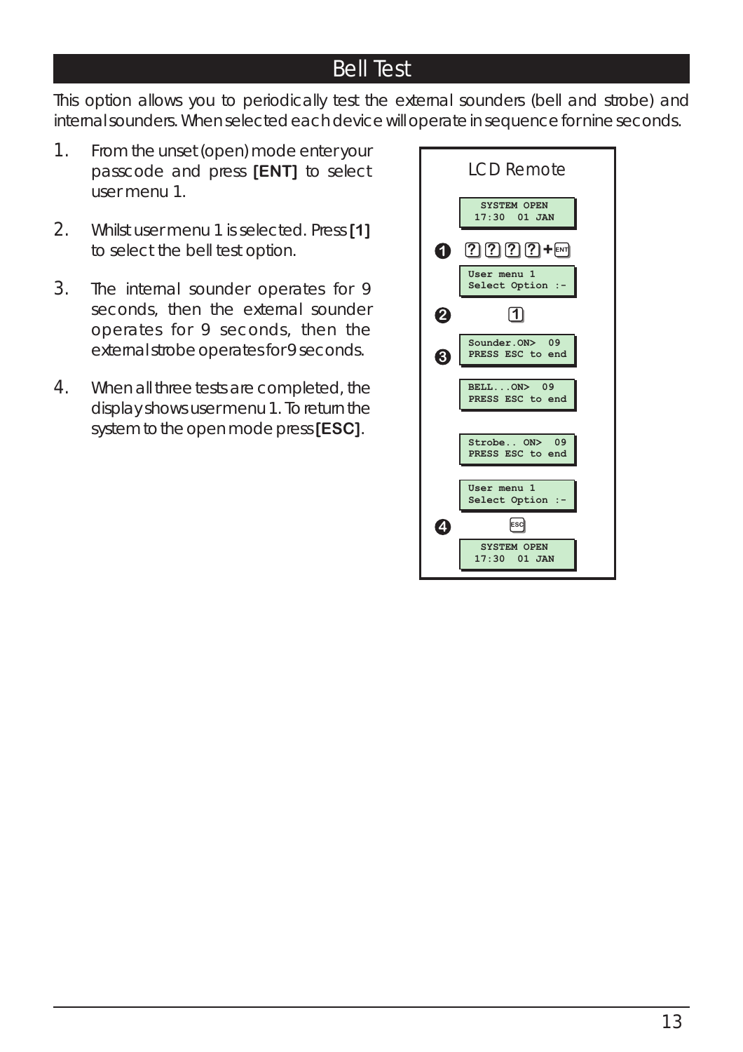#### Bell Test

This option allows you to periodically test the external sounders (bell and strobe) and internal sounders. When selected each device will operate in sequence for nine seconds.

- 1. From the unset (open) mode enter your passcode and press **[ENT]** to select user menu 1.
- 2. Whilst user menu 1 is selected. Press **[1]** to select the bell test option.
- 3. The internal sounder operates for 9 seconds, then the external sounder operates for 9 seconds, then the external strobe operates for 9 seconds.
- 4. When all three tests are completed, the display shows user menu 1. To return the system to the open mode press**[ESC]**.

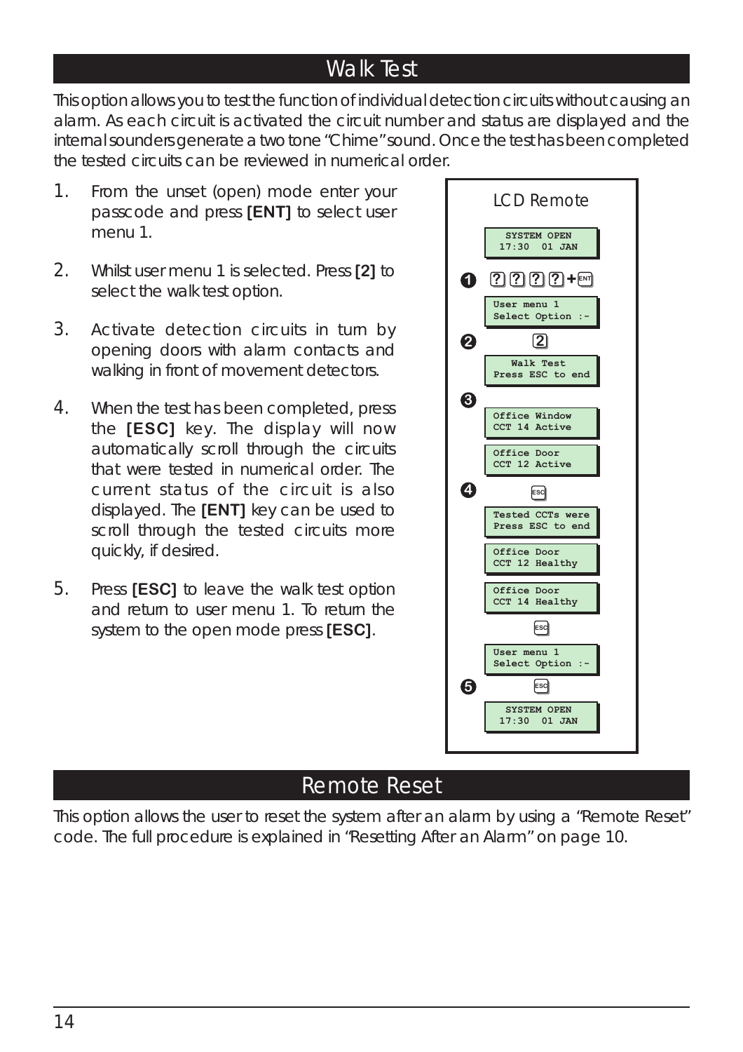#### Walk Test

This option allows you to test the function of individual detection circuits without causing an alarm. As each circuit is activated the circuit number and status are displayed and the internal sounders generate a two tone "Chime" sound. Once the test has been completed the tested circuits can be reviewed in numerical order.

- 1. From the unset (open) mode enter your passcode and press **[ENT]** to select user menu 1.
- 2. Whilst user menu 1 is selected. Press **[2]** to select the walk test option.
- 3. Activate detection circuits in turn by opening doors with alarm contacts and walking in front of movement detectors.
- 4. When the test has been completed, press the **[ESC]** key. The display will now automatically scroll through the circuits that were tested in numerical order. The current status of the circuit is also displayed. The **[ENT]** key can be used to scroll through the tested circuits more quickly, if desired.
- 5. Press **[ESC]** to leave the walk test option and return to user menu 1. To return the system to the open mode press **[ESC]**.



#### Remote Reset

This option allows the user to reset the system after an alarm by using a "Remote Reset" code. The full procedure is explained in *"Resetting After an Alarm" on page 10.*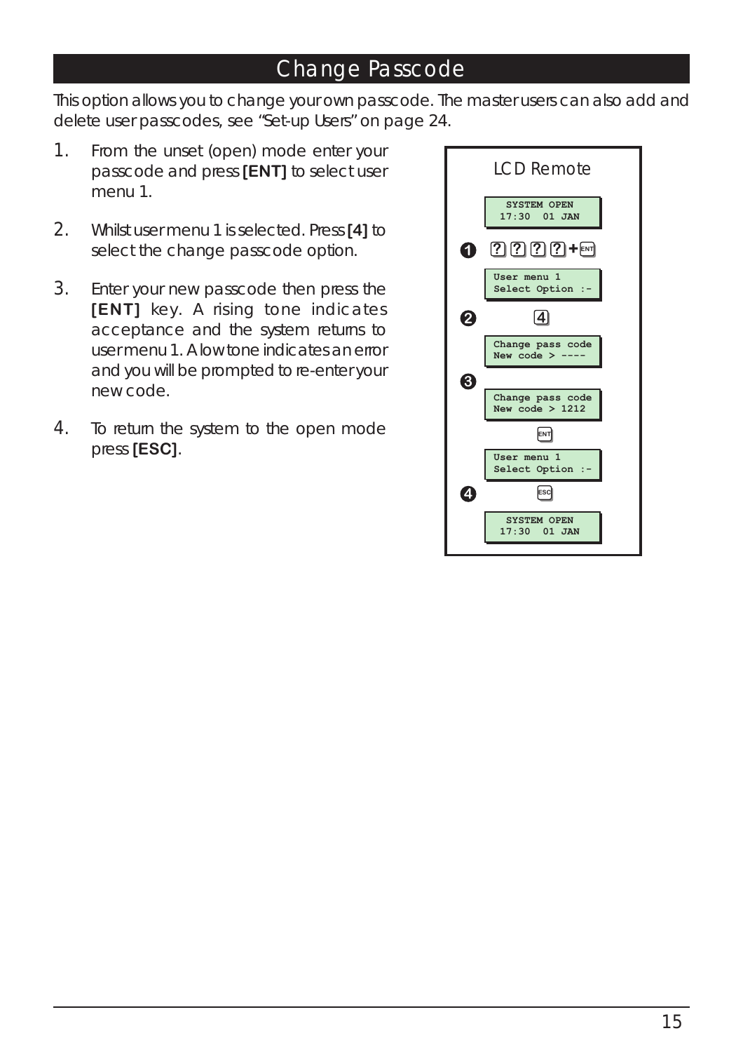#### Change Passcode

This option allows you to change your own passcode. The master users can also add and delete user passcodes, see "Set-up Users" on page 24.

- 1. From the unset (open) mode enter your passcode and press **[ENT]** to select user menu 1.
- 2. Whilst user menu 1 is selected. Press **[4]** to select the change passcode option.
- 3. Enter your new passcode then press the **[ENT]** key. A rising tone indicates acceptance and the system returns to user menu 1. A low tone indicates an error and you will be prompted to re-enter your new code.
- 4. To return the system to the open mode press **[ESC]**.

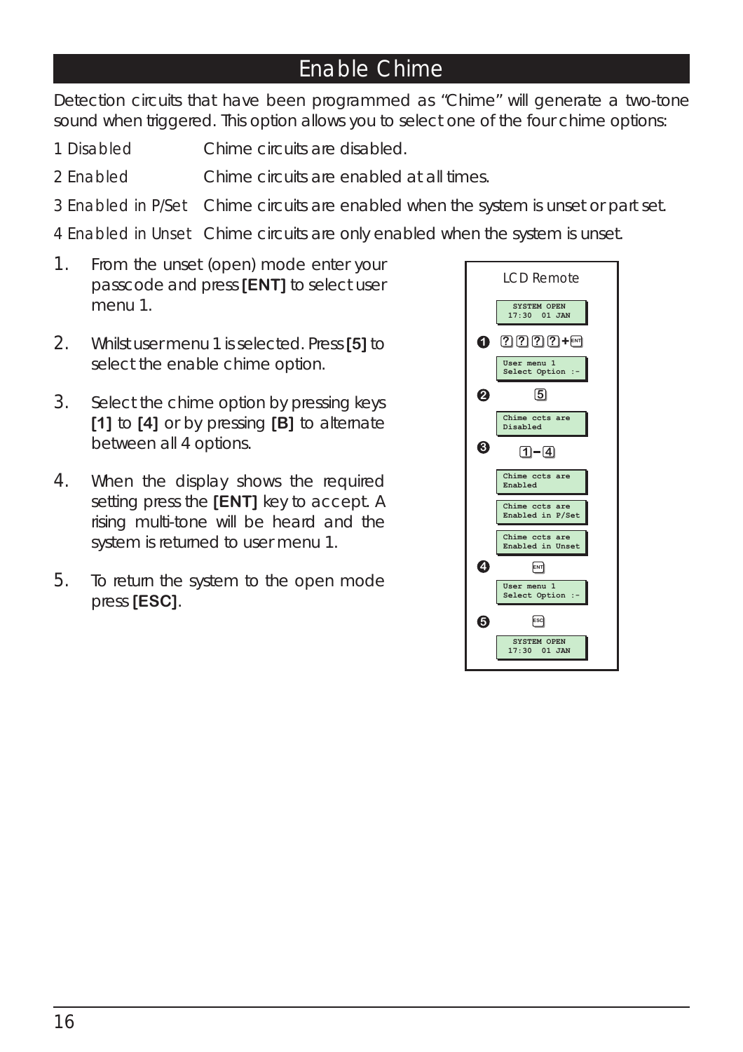#### Enable Chime

Detection circuits that have been programmed as "Chime" will generate a two-tone sound when triggered. This option allows you to select one of the four chime options:

- 1 Disabled Chime circuits are disabled.
- 2 Enabled Chime circuits are enabled at all times.
- 3 Enabled in P/Set Chime circuits are enabled when the system is unset or part set.

4 Enabled in Unset Chime circuits are only enabled when the system is unset.

- 1. From the unset (open) mode enter your passcode and press **[ENT]** to select user menu 1.
- 2. Whilst user menu 1 is selected. Press **[5]** to select the enable chime option.
- 3. Select the chime option by pressing keys **[1]** to **[4]** or by pressing **[B]** to alternate between all 4 options.
- 4. When the display shows the required setting press the **[ENT]** key to accept. A rising multi-tone will be heard and the system is returned to user menu 1.
- 5. To return the system to the open mode press **[ESC]**.

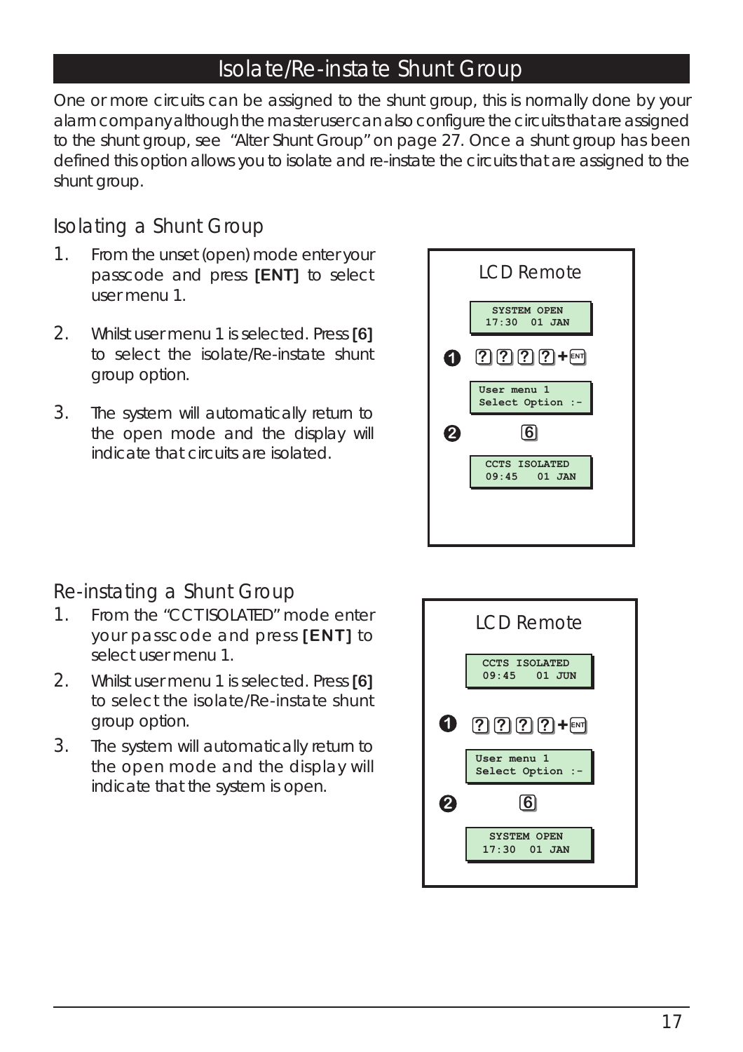#### Isolate/Re-instate Shunt Group

One or more circuits can be assigned to the shunt group, this is normally done by your alarm company although the master user can also configure the circuits that are assigned to the shunt group, *see "Alter Shunt Group" on page 27.* Once a shunt group has been defined this option allows you to isolate and re-instate the circuits that are assigned to the shunt group.

#### Isolating a Shunt Group

- 1. From the unset (open) mode enter your passcode and press **[ENT]** to select user menu 1.
- 2. Whilst user menu 1 is selected. Press **[6]** to select the isolate/Re-instate shunt group option.
- 3. The system will automatically return to the open mode and the display will indicate that circuits are isolated.



#### Re-instating a Shunt Group

- 1. From the "CCT ISOLATED" mode enter your passcode and press **[ENT]** to select user menu 1.
- 2. Whilst user menu 1 is selected. Press **[6]** to select the isolate/Re-instate shunt group option.
- 3. The system will automatically return to the open mode and the display will indicate that the system is open.

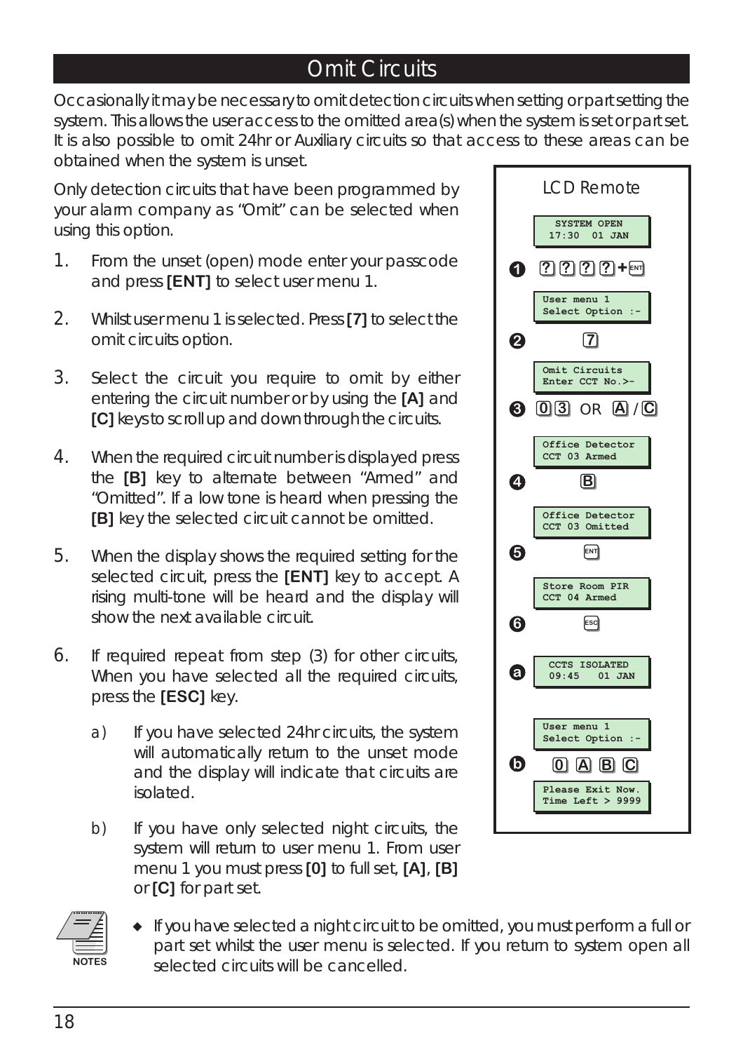#### Omit Circuits

Occasionally it may be necessary to omit detection circuits when setting or part setting the system. This allows the user access to the omitted area(s) when the system is set or part set. It is also possible to omit 24hr or Auxiliary circuits so that access to these areas can be obtained when the system is unset.

Only detection circuits that have been programmed by your alarm company as "Omit" can be selected when using this option.

- 1. From the unset (open) mode enter your passcode and press **[ENT]** to select user menu 1.
- 2. Whilst user menu 1 is selected. Press **[7]** to select the omit circuits option.
- 3. Select the circuit you require to omit by either entering the circuit number or by using the **[A]** and **[C]** keys to scroll up and down through the circuits.
- 4. When the required circuit number is displayed press the **[B]** key to alternate between "Armed" and "Omitted". If a low tone is heard when pressing the **[B]** key the selected circuit cannot be omitted.
- 5. When the display shows the required setting for the selected circuit, press the **[ENT]** key to accept. A rising multi-tone will be heard and the display will show the next available circuit.
- 6. If required repeat from step (3) for other circuits, When you have selected all the required circuits, press the **[ESC]** key.
	- a) If you have selected 24hr circuits, the system will automatically return to the unset mode and the display will indicate that circuits are isolated.
	- b) If you have only selected night circuits, the system will return to user menu 1. From user menu 1 you must press **[0]** to full set, **[A]**, **[B]** or **[C]** for part set.





 *If you have selected a night circuit to be omitted, you must perform a full or part set whilst the user menu is selected. If you return to system open all selected circuits will be cancelled.*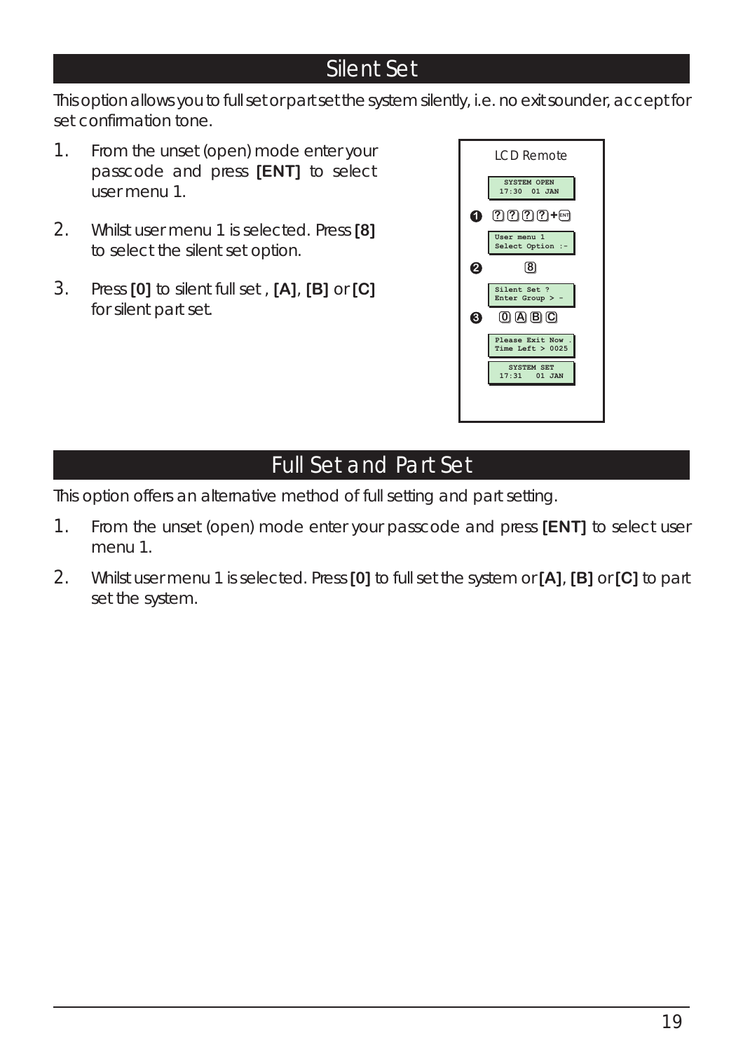#### Silent Set

This option allows you to full set or part set the system silently, i.e. no exit sounder, accept for set confirmation tone.

- 1. From the unset (open) mode enter your passcode and press **[ENT]** to select user menu 1.
- 2. Whilst user menu 1 is selected. Press **[8]** to select the silent set option.
- 3. Press **[0]** to silent full set , **[A]**, **[B]** or **[C]** for silent part set.



#### Full Set and Part Set

This option offers an alternative method of full setting and part setting.

- 1. From the unset (open) mode enter your passcode and press **[ENT]** to select user menu 1.
- 2. Whilst user menu 1 is selected. Press **[0]** to full set the system or **[A]**, **[B]** or **[C]** to part set the system.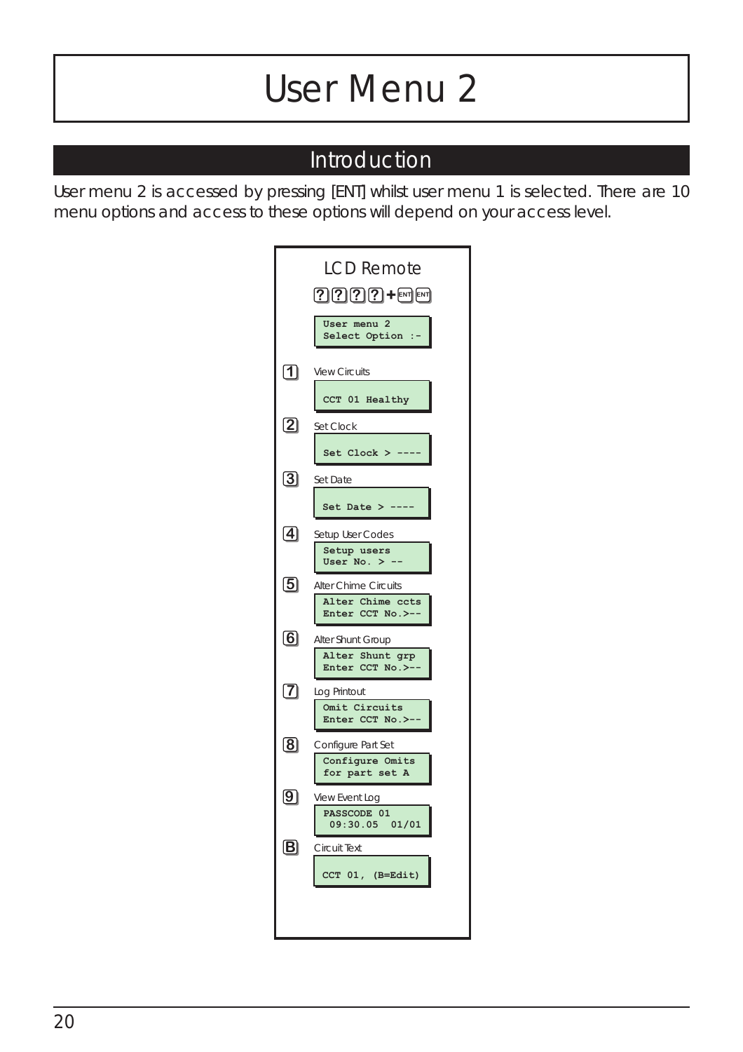## *User Menu 2*

#### Introduction

User menu 2 is accessed by pressing [ENT] whilst user menu 1 is selected. There are 10 menu options and access to these options will depend on your access level.

| $2222 +$ MM<br>User menu 2<br>Select Option :-<br>$\bm{\mathsf{\Pi}}$<br><b>View Circuits</b> |
|-----------------------------------------------------------------------------------------------|
|                                                                                               |
|                                                                                               |
| CCT 01 Healthy<br>$\bm{\mathsf{2}}$<br>Set Clock                                              |
| Set Clock > --<br>$\bm{\Xi}$<br>Set Date                                                      |
| Set Date $>$ -<br>$\bm{A}$<br>Setup User Codes                                                |
| Setup users<br>User No. $>$ $\cdot$<br>$\bm{5}$<br><b>Alter Chime Circuits</b>                |
| Alter Chime ccts<br>Enter CCT No.>--<br>$\bm{6}$<br>Alter Shunt Group                         |
| Alter Shunt grp<br>Enter CCT No.>--                                                           |
| $\bm{\mathcal{D}}$<br>Log Printout<br>Omit Circuits<br>Enter CCT No.>--                       |
| $\bm{[8]}$<br>Configure Part Set<br>Configure Omits<br>for part set A                         |
| View Event Log<br>PASSCODE 01<br>09:30.05<br>01/01                                            |
| $\vert \mathbf{B} \vert$<br>Circuit Text<br>CCT 01, (B=Edit)                                  |
|                                                                                               |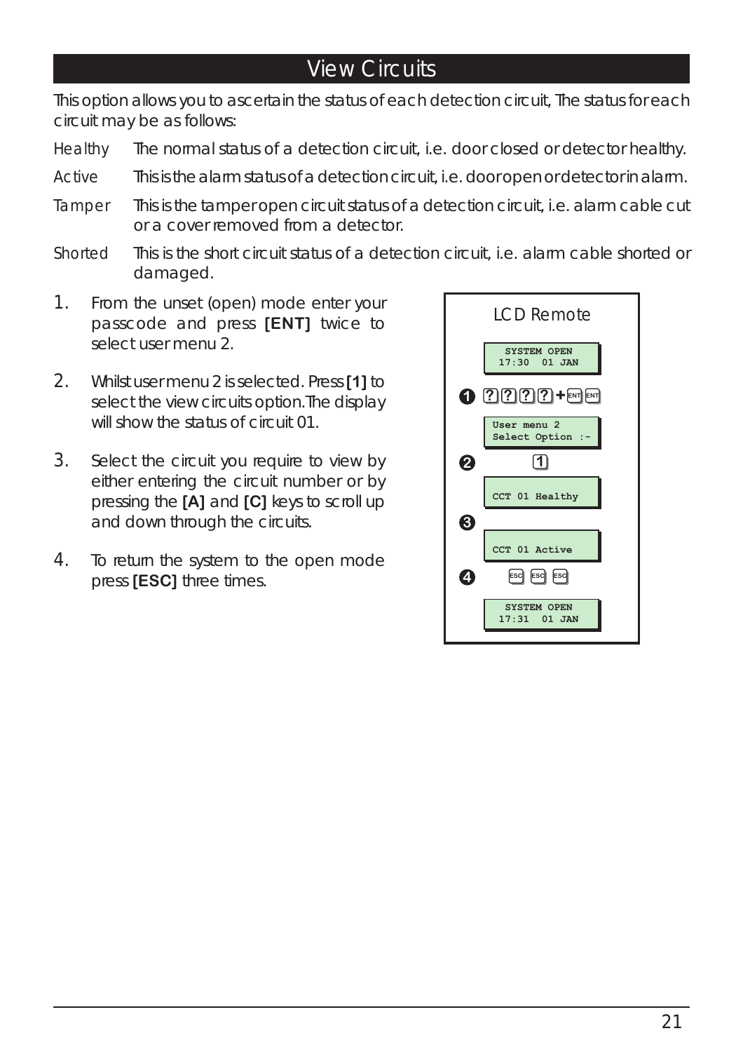#### View Circuits

This option allows you to ascertain the status of each detection circuit, The status for each circuit may be as follows:

- Healthy The normal status of a detection circuit, i.e. door closed or detector healthy.
- Active This is the alarm status of a detection circuit, i.e. door open or detector in alarm.
- Tamper This is the tamper open circuit status of a detection circuit, i.e. alarm cable cut or a cover removed from a detector.
- Shorted This is the short circuit status of a detection circuit, i.e. alarm cable shorted or damaged.
- 1. From the unset (open) mode enter your passcode and press **[ENT]** twice to select user menu 2.
- 2. Whilst user menu 2 is selected. Press **[1]** to select the view circuits option.The display will show the status of circuit 01.
- 3. Select the circuit you require to view by either entering the circuit number or by pressing the **[A]** and **[C]** keys to scroll up and down through the circuits.
- 4. To return the system to the open mode press **[ESC]** three times.

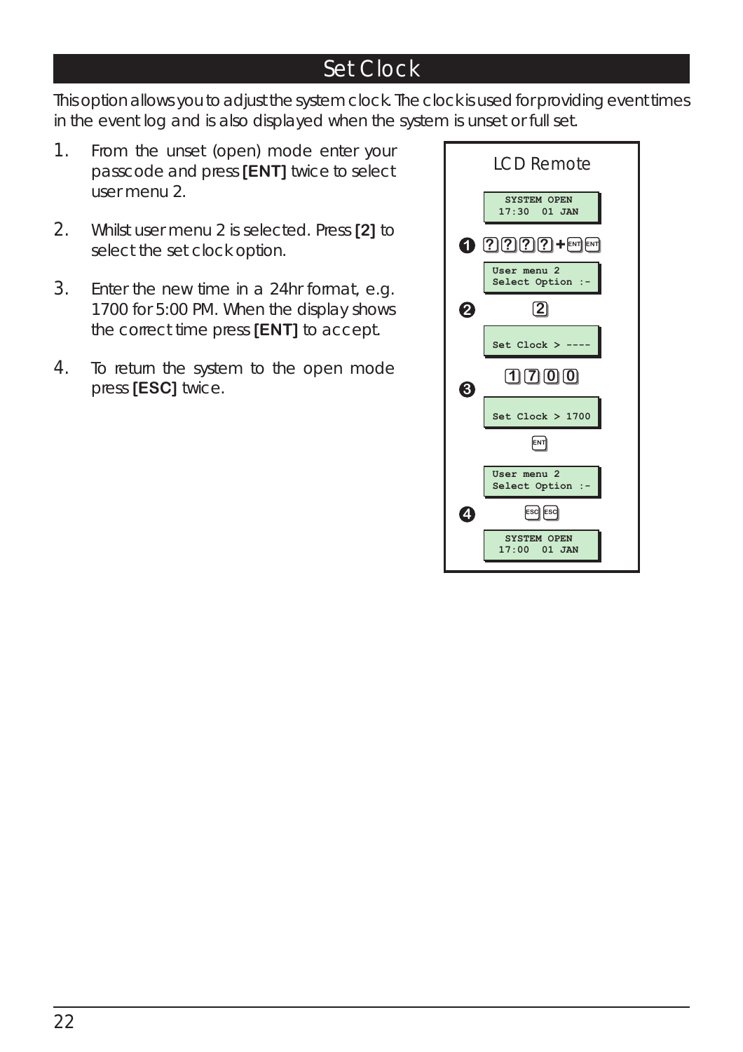#### Set Clock

This option allows you to adjust the system clock. The clock is used for providing event times in the event log and is also displayed when the system is unset or full set.

- 1. From the unset (open) mode enter your passcode and press **[ENT]** twice to select user menu 2.
- 2. Whilst user menu 2 is selected. Press **[2]** to select the set clock option.
- 3. Enter the new time in a 24hr format, e.g. 1700 for 5:00 PM. When the display shows the correct time press **[ENT]** to accept.
- 4. To return the system to the open mode press **[ESC]** twice.

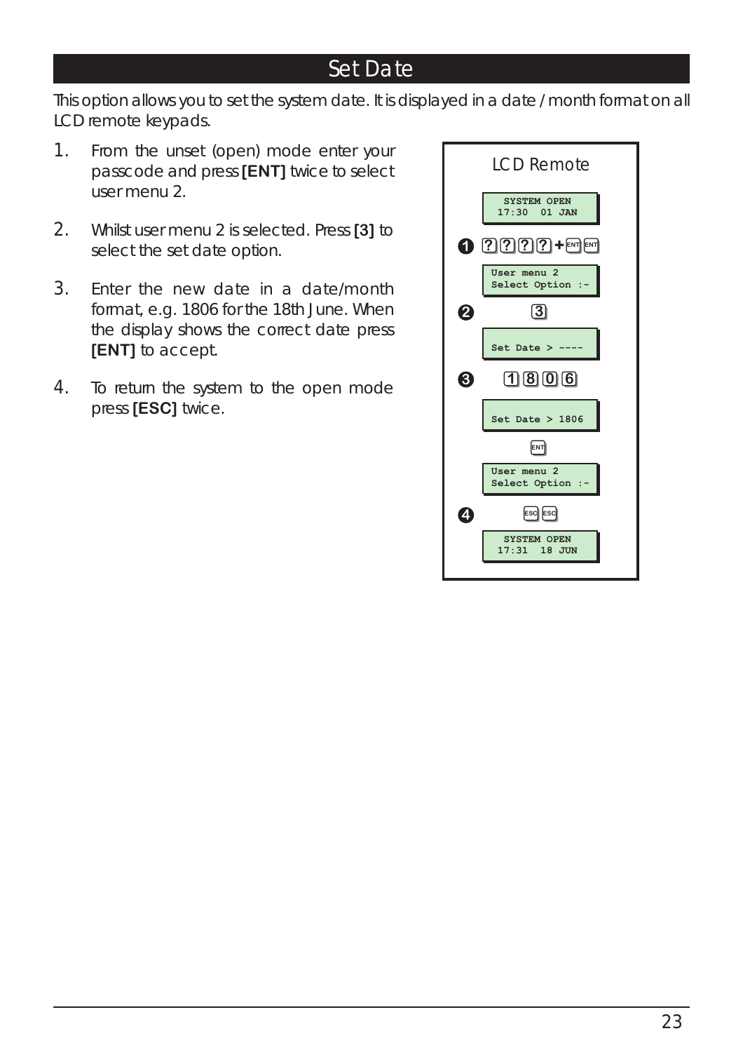#### Set Date

This option allows you to set the system date. It is displayed in a date / month format on all LCD remote keypads.

- 1. From the unset (open) mode enter your passcode and press **[ENT]** twice to select user menu 2.
- 2. Whilst user menu 2 is selected. Press **[3]** to select the set date option.
- 3. Enter the new date in a date/month format, e.g. 1806 for the 18th June. When the display shows the correct date press **[ENT]** to accept.
- 4. To return the system to the open mode press **[ESC]** twice.

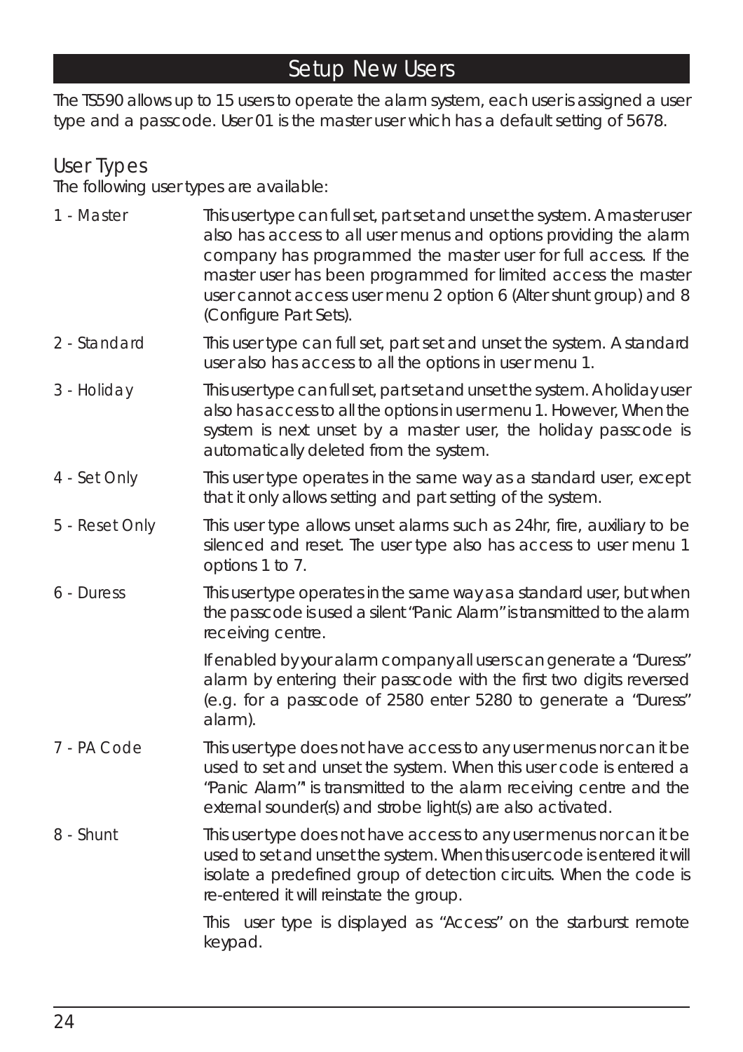#### Setup New Users

The TS590 allows up to 15 users to operate the alarm system, each user is assigned a user type and a passcode. User 01 is the master user which has a default setting of 5678.

#### User Types

The following user types are available:

- 1 Master This user type can full set, part set and unset the system. A master user also has access to all user menus and options providing the alarm company has programmed the master user for full access. If the master user has been programmed for limited access the master user cannot access user menu 2 option 6 (Alter shunt group) and 8 (Configure Part Sets).
- 2 Standard This user type can full set, part set and unset the system. A standard user also has access to all the options in user menu 1.
- 3 Holiday This user type can full set, part set and unset the system. A holiday user also has access to all the options in user menu 1. However, When the system is next unset by a master user, the holiday passcode is automatically deleted from the system.
- 4 Set Only This user type operates in the same way as a standard user, except that it only allows setting and part setting of the system.
- 5 Reset Only This user type allows unset alarms such as 24hr, fire, auxiliary to be silenced and reset. The user type also has access to user menu 1 options 1 to 7.
- 6 Duress This user type operates in the same way as a standard user, but when the passcode is used a silent "Panic Alarm" is transmitted to the alarm receiving centre.

*If enabled by your alarm company all users can generate a "Duress" alarm by entering their passcode with the first two digits reversed (e.g. for a passcode of 2580 enter 5280 to generate a "Duress" alarm).*

- 7 PA Code This user type does not have access to any user menus nor can it be used to set and unset the system. When this user code is entered a "Panic Alarm"' is transmitted to the alarm receiving centre and the external sounder(s) and strobe light(s) are also activated.
- 8 Shunt This user type does not have access to any user menus nor can it be used to set and unset the system. When this user code is entered it will isolate a predefined group of detection circuits. When the code is re-entered it will reinstate the group.

*This user type is displayed as "Access" on the starburst remote keypad.*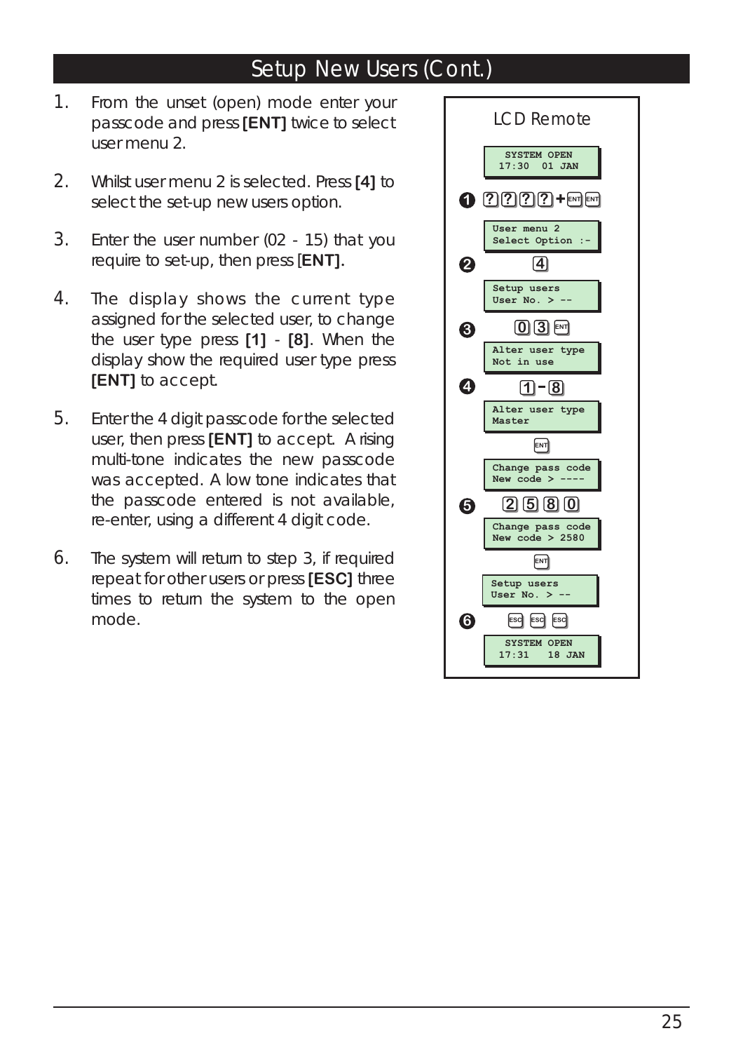#### Setup New Users (Cont.)

- 1. From the unset (open) mode enter your passcode and press **[ENT]** twice to select user menu 2.
- 2. Whilst user menu 2 is selected. Press **[4]** to select the set-up new users option.
- 3. Enter the user number (02 15) that you require to set-up, then press [**ENT].**
- 4. The display shows the current type assigned for the selected user, to change the user type press **[1]** - **[8]**. When the display show the required user type press **[ENT]** to accept.
- 5. Enter the 4 digit passcode for the selected user, then press **[ENT]** to accept. A rising multi-tone indicates the new passcode was accepted. A low tone indicates that the passcode entered is not available, re-enter, using a different 4 digit code.
- 6. The system will return to step 3, if required repeat for other users or press **[ESC]** three times to return the system to the open mode.

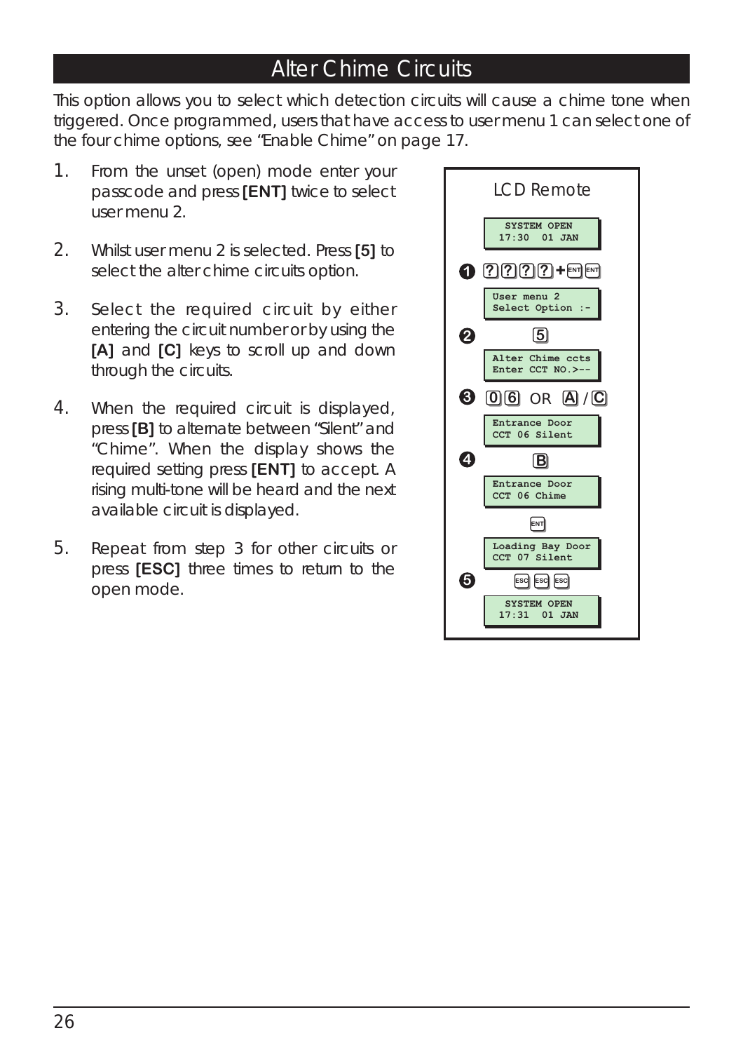#### Alter Chime Circuits

This option allows you to select which detection circuits will cause a chime tone when triggered. Once programmed, users that have access to user menu 1 can select one of the four chime options, *see "Enable Chime" on page 17.*

- 1. From the unset (open) mode enter your passcode and press **[ENT]** twice to select user menu 2.
- 2. Whilst user menu 2 is selected. Press **[5]** to select the alter chime circuits option.
- 3. Select the required circuit by either entering the circuit number or by using the **[A]** and **[C]** keys to scroll up and down through the circuits.
- 4. When the required circuit is displayed, press **[B]** to alternate between "Silent" and "Chime". When the display shows the required setting press **[ENT]** to accept. A rising multi-tone will be heard and the next available circuit is displayed.
- 5. Repeat from step 3 for other circuits or press **[ESC]** three times to return to the open mode.

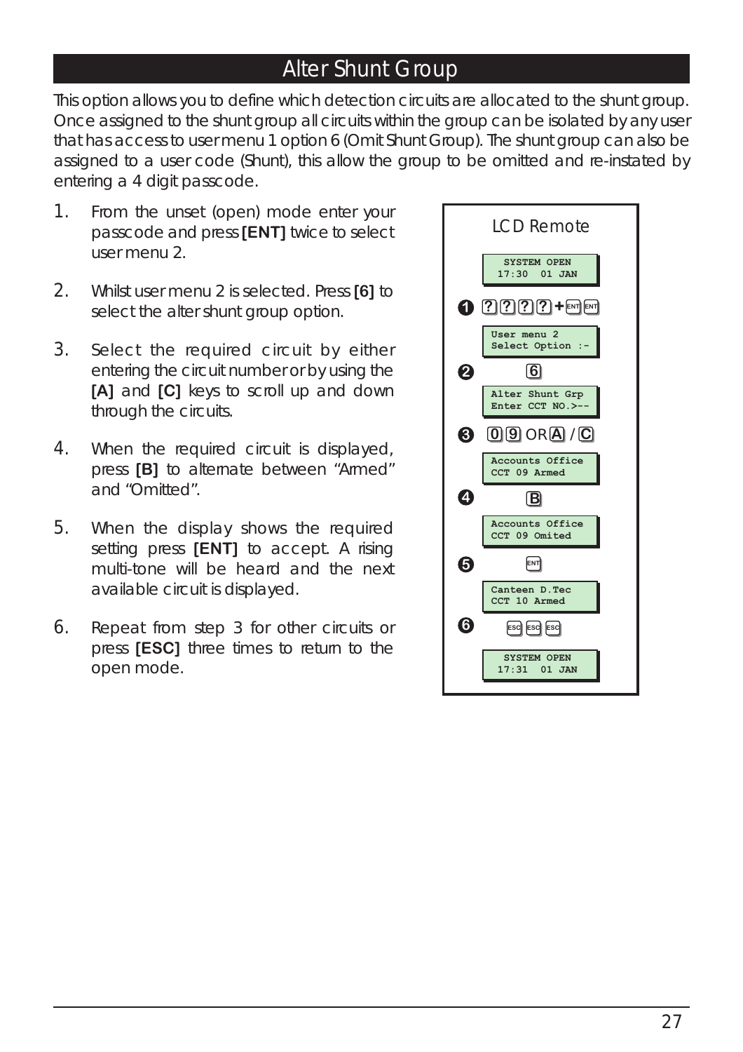#### Alter Shunt Group

This option allows you to define which detection circuits are allocated to the shunt group. Once assigned to the shunt group all circuits within the group can be isolated by any user that has access to user menu 1 option 6 (Omit Shunt Group). The shunt group can also be assigned to a user code (Shunt), this allow the group to be omitted and re-instated by entering a 4 digit passcode.

- 1. From the unset (open) mode enter your passcode and press **[ENT]** twice to select user menu 2.
- 2. Whilst user menu 2 is selected. Press **[6]** to select the alter shunt group option.
- 3. Select the required circuit by either entering the circuit number or by using the **[A]** and **[C]** keys to scroll up and down through the circuits.
- 4. When the required circuit is displayed, press **[B]** to alternate between "Armed" and "Omitted".
- 5. When the display shows the required setting press **[ENT]** to accept. A rising multi-tone will be heard and the next available circuit is displayed.
- 6. Repeat from step 3 for other circuits or press **[ESC]** three times to return to the open mode.

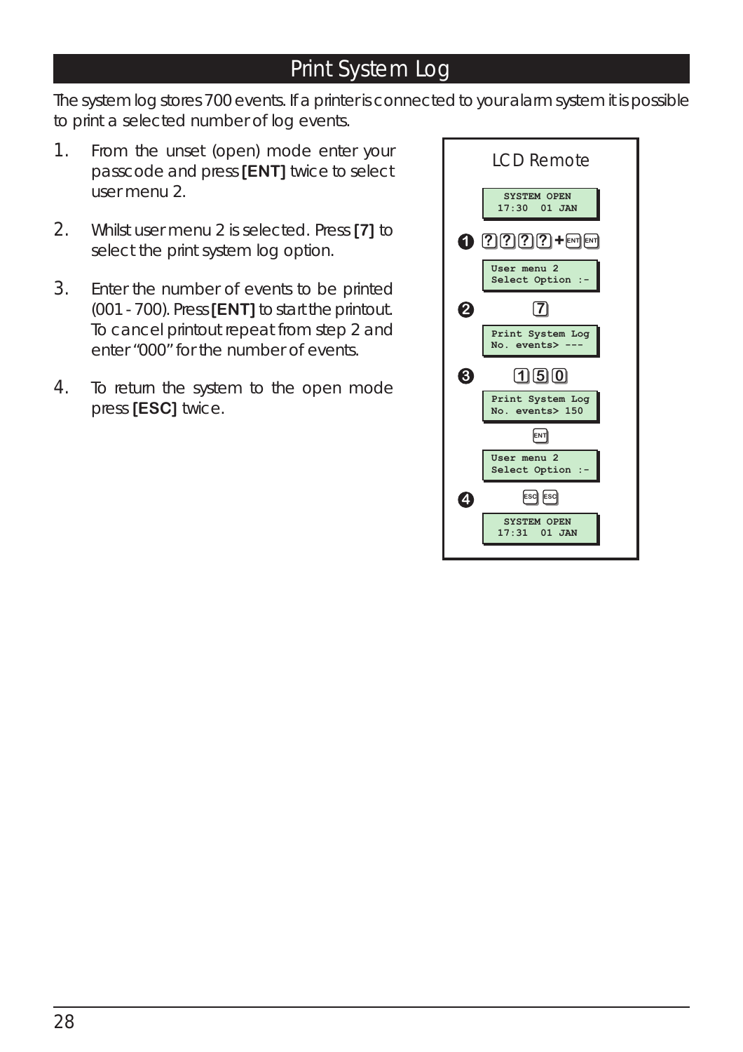#### Print System Log

The system log stores 700 events. If a printer is connected to your alarm system it is possible to print a selected number of log events.

- 1. From the unset (open) mode enter your passcode and press **[ENT]** twice to select user menu 2.
- 2. Whilst user menu 2 is selected. Press **[7]** to select the print system log option.
- 3. Enter the number of events to be printed (001 - 700). Press**[ENT]** to start the printout. To cancel printout repeat from step 2 and enter "000" for the number of events.
- 4. To return the system to the open mode press **[ESC]** twice.

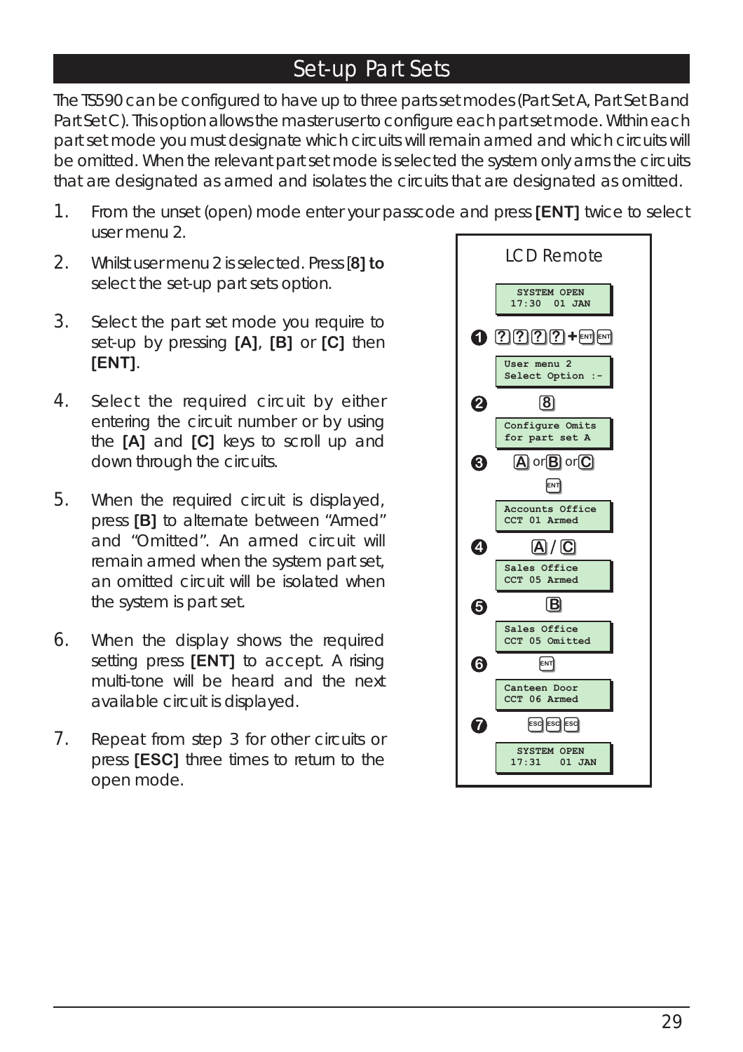#### Set-up Part Sets

The TS590 can be configured to have up to three parts set modes (Part Set A, Part Set B and Part Set C). This option allows the master user to configure each part set mode. Within each part set mode you must designate which circuits will remain armed and which circuits will be omitted. When the relevant part set mode is selected the system only arms the circuits that are designated as armed and isolates the circuits that are designated as omitted.

- 1. From the unset (open) mode enter your passcode and press **[ENT]** twice to select user menu 2.
- 2. Whilst user menu 2 is selected. Press [**8] to** select the set-up part sets option.
- 3. Select the part set mode you require to set-up by pressing **[A]**, **[B]** or **[C]** then **[ENT]**.
- 4. Select the required circuit by either entering the circuit number or by using the **[A]** and **[C]** keys to scroll up and down through the circuits.
- 5. When the required circuit is displayed, press **[B]** to alternate between "Armed" and "Omitted". An armed circuit will remain armed when the system part set, an omitted circuit will be isolated when the system is part set.
- 6. When the display shows the required setting press **[ENT]** to accept. A rising multi-tone will be heard and the next available circuit is displayed.
- 7. Repeat from step 3 for other circuits or press **[ESC]** three times to return to the open mode.

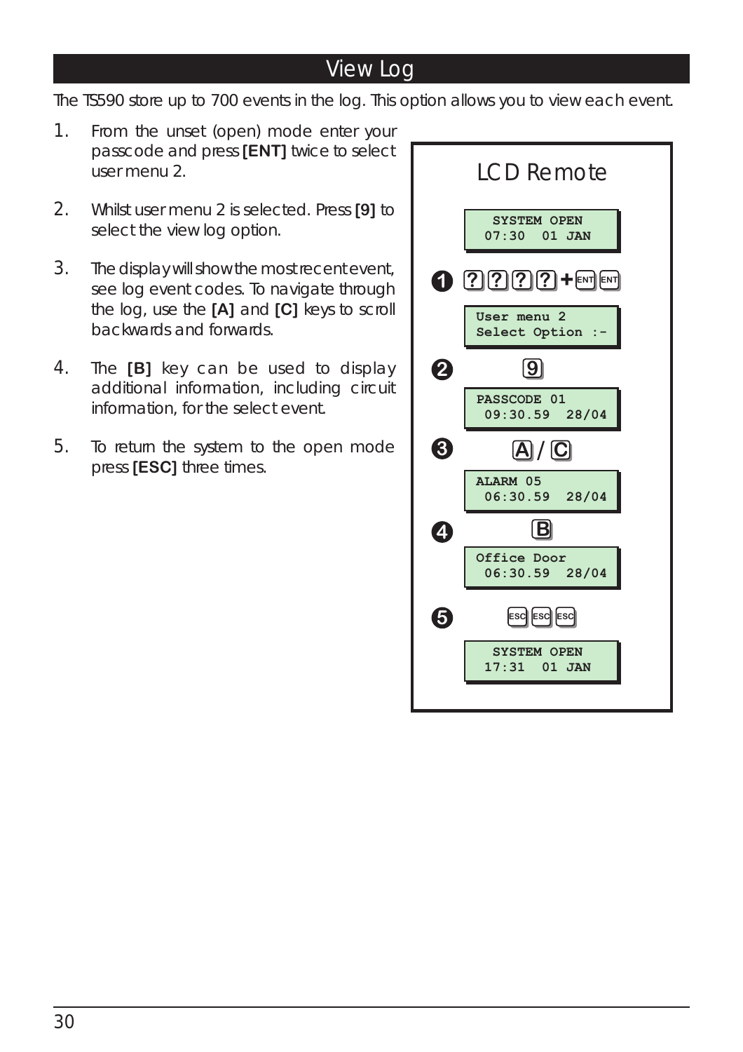#### View Log

The TS590 store up to 700 events in the log. This option allows you to view each event.

- 1. From the unset (open) mode enter your passcode and press **[ENT]** twice to select user menu 2.
- 2. Whilst user menu 2 is selected. Press **[9]** to select the view log option.
- 3. The display will show the most recent event, see log event codes. To navigate through the log, use the **[A]** and **[C]** keys to scroll backwards and forwards.
- 4. The **[B]** key can be used to display additional information, including circuit information, for the select event.
- 5. To return the system to the open mode press **[ESC]** three times.

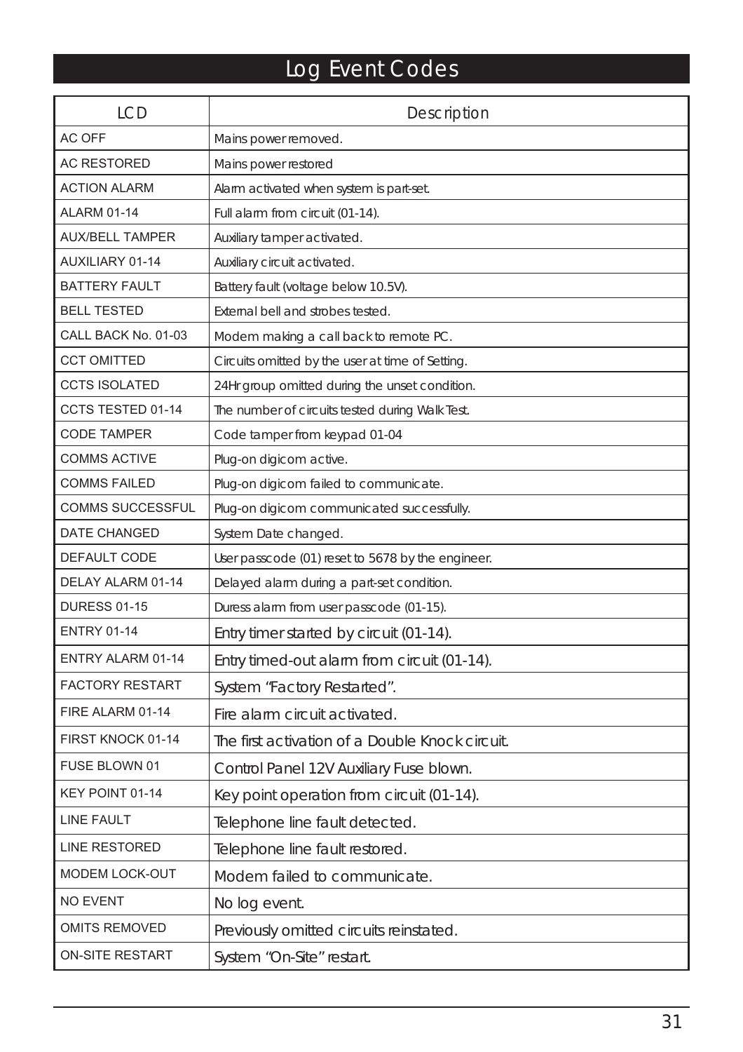### Log Event Codes

| <b>LCD</b>              | <b>Description</b>                                |
|-------------------------|---------------------------------------------------|
| <b>AC OFF</b>           | Mains power removed.                              |
| <b>AC RESTORED</b>      | Mains power restored                              |
| <b>ACTION ALARM</b>     | Alarm activated when system is part-set.          |
| <b>ALARM 01-14</b>      | Full alarm from circuit (01-14).                  |
| <b>AUX/BELL TAMPER</b>  | Auxiliary tamper activated.                       |
| <b>AUXILIARY 01-14</b>  | Auxiliary circuit activated.                      |
| <b>BATTERY FAULT</b>    | Battery fault (voltage below 10.5V).              |
| <b>BELL TESTED</b>      | External bell and strobes tested.                 |
| CALL BACK No. 01-03     | Modem making a call back to remote PC.            |
| <b>CCT OMITTED</b>      | Circuits omitted by the user at time of Setting.  |
| <b>CCTS ISOLATED</b>    | 24Hr group omitted during the unset condition.    |
| CCTS TESTED 01-14       | The number of circuits tested during Walk Test.   |
| <b>CODE TAMPER</b>      | Code tamper from keypad 01-04                     |
| <b>COMMS ACTIVE</b>     | Plug-on digicom active.                           |
| <b>COMMS FAILED</b>     | Plug-on digicom failed to communicate.            |
| <b>COMMS SUCCESSFUL</b> | Plug-on digicom communicated successfully.        |
| <b>DATE CHANGED</b>     | System Date changed.                              |
| DEFAULT CODE            | User passcode (01) reset to 5678 by the engineer. |
| DELAY ALARM 01-14       | Delayed alarm during a part-set condition.        |
| <b>DURESS 01-15</b>     | Duress alarm from user passcode (01-15).          |
| <b>ENTRY 01-14</b>      | Entry timer started by circuit (01-14).           |
| ENTRY ALARM 01-14       | Entry timed-out alarm from circuit (01-14).       |
| <b>FACTORY RESTART</b>  | System "Factory Restarted".                       |
| FIRE ALARM 01-14        | Fire alarm circuit activated.                     |
| FIRST KNOCK 01-14       | The first activation of a Double Knock circuit.   |
| FUSE BLOWN 01           | Control Panel 12V Auxiliary Fuse blown.           |
| KEY POINT 01-14         | Key point operation from circuit (01-14).         |
| <b>LINE FAULT</b>       | Telephone line fault detected.                    |
| <b>LINE RESTORED</b>    | Telephone line fault restored.                    |
| MODEM LOCK-OUT          | Modem failed to communicate.                      |
| <b>NO EVENT</b>         | No log event.                                     |
| <b>OMITS REMOVED</b>    | Previously omitted circuits reinstated.           |
| <b>ON-SITE RESTART</b>  | System "On-Site" restart.                         |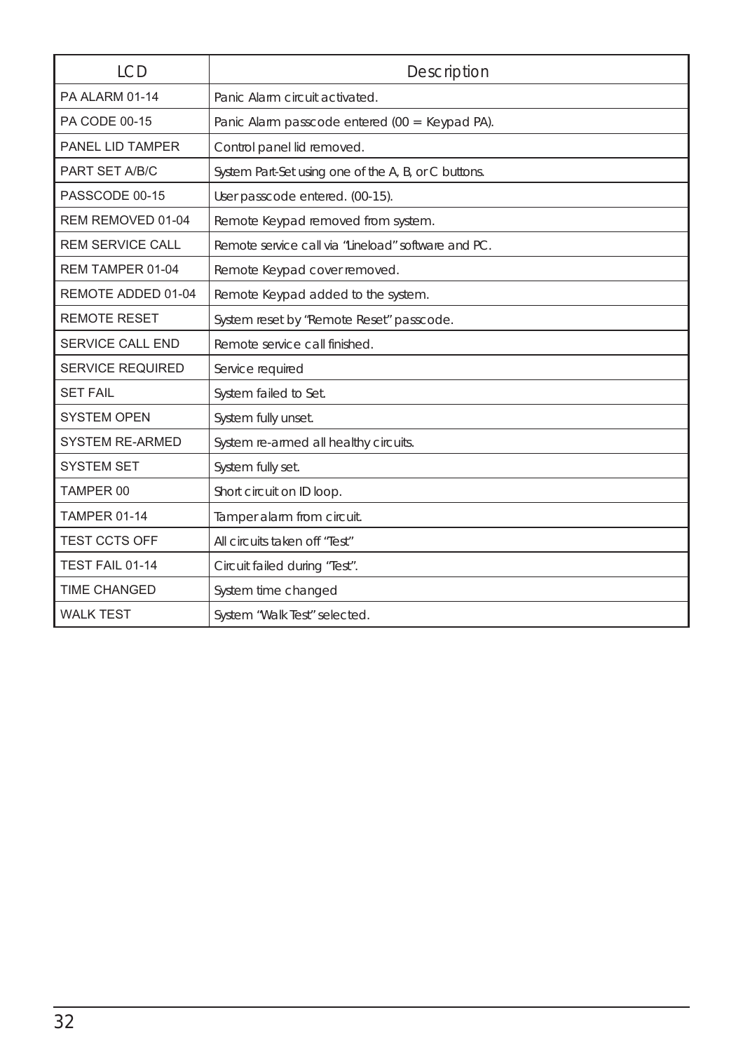| <b>LCD</b>              | Description                                          |
|-------------------------|------------------------------------------------------|
| PA ALARM 01-14          | Panic Alarm circuit activated.                       |
| PA CODE 00-15           | Panic Alarm passcode entered (00 = Keypad PA).       |
| PANEL LID TAMPER        | Control panel lid removed.                           |
| PART SET A/B/C          | System Part-Set using one of the A, B, or C buttons. |
| PASSCODE 00-15          | User passcode entered. (00-15).                      |
| REM REMOVED 01-04       | Remote Keypad removed from system.                   |
| <b>REM SERVICE CALL</b> | Remote service call via "Lineload" software and PC.  |
| REM TAMPER 01-04        | Remote Keypad cover removed.                         |
| REMOTE ADDED 01-04      | Remote Keypad added to the system.                   |
| <b>REMOTE RESET</b>     | System reset by "Remote Reset" passcode.             |
| <b>SERVICE CALL END</b> | Remote service call finished.                        |
| <b>SERVICE REQUIRED</b> | Service required                                     |
| <b>SET FAIL</b>         | System failed to Set.                                |
| <b>SYSTEM OPEN</b>      | System fully unset.                                  |
| <b>SYSTEM RE-ARMED</b>  | System re-armed all healthy circuits.                |
| <b>SYSTEM SET</b>       | System fully set.                                    |
| TAMPER 00               | Short circuit on ID loop.                            |
| <b>TAMPER 01-14</b>     | Tamper alarm from circuit.                           |
| <b>TEST CCTS OFF</b>    | All circuits taken off "Test"                        |
| TEST FAIL 01-14         | Circuit failed during "Test".                        |
| <b>TIME CHANGED</b>     | System time changed                                  |
| <b>WALK TEST</b>        | System "Walk Test" selected.                         |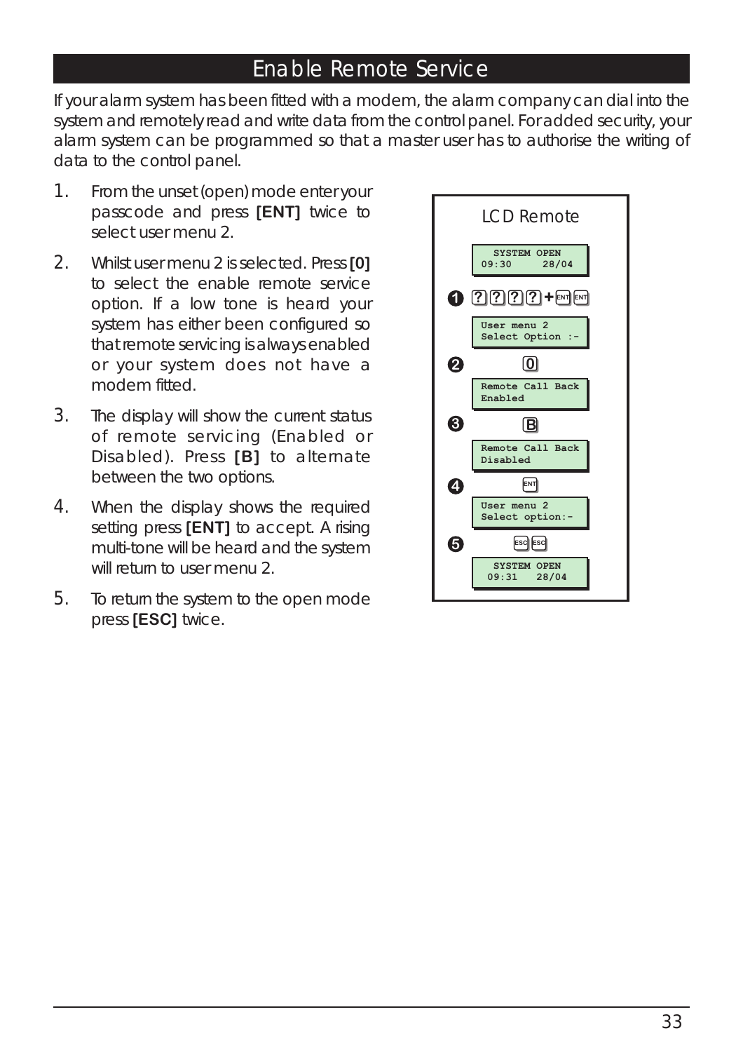#### Enable Remote Service

If your alarm system has been fitted with a modem, the alarm company can dial into the system and remotely read and write data from the control panel. For added security, your alarm system can be programmed so that a master user has to authorise the writing of data to the control panel.

- 1. From the unset (open) mode enter your passcode and press **[ENT]** twice to select user menu 2.
- 2. Whilst user menu 2 is selected. Press **[0]** to select the enable remote service option. If a low tone is heard your system has either been configured so that remote servicing is always enabled or your system does not have a modem fitted.
- 3. The display will show the current status of remote servicing (Enabled or Disabled). Press **[B]** to alternate between the two options.
- 4. When the display shows the required setting press **[ENT]** to accept. A rising multi-tone will be heard and the system will return to user menu 2.
- 5. To return the system to the open mode press **[ESC]** twice.

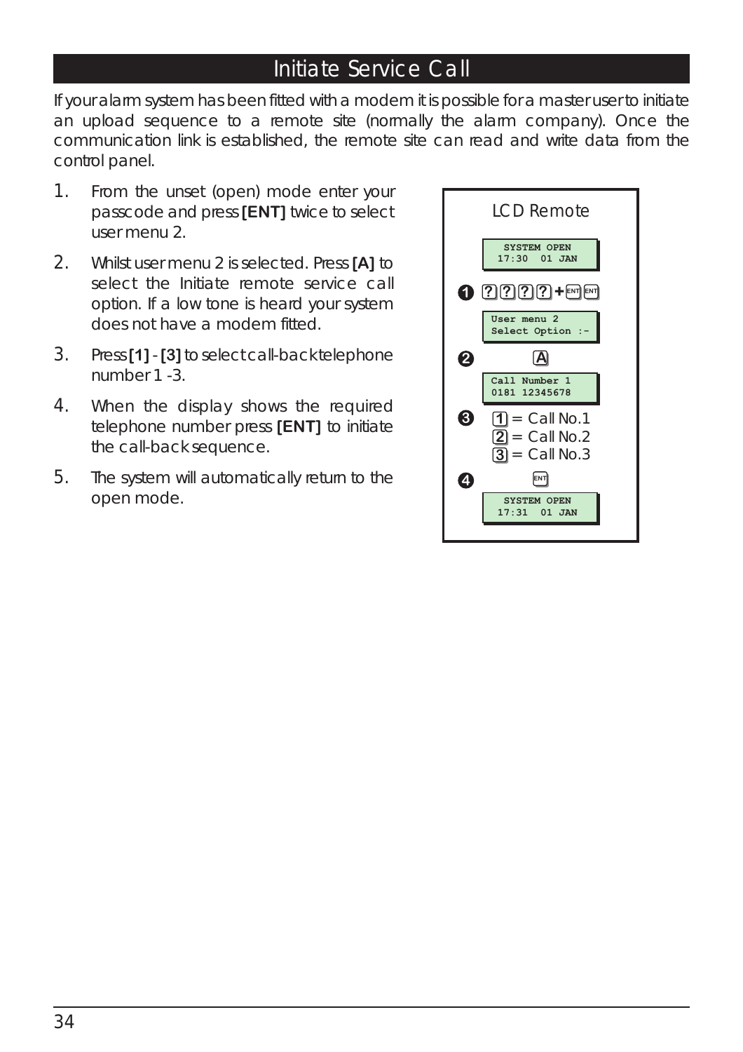#### Initiate Service Call

If your alarm system has been fitted with a modem it is possible for a master user to initiate an upload sequence to a remote site (normally the alarm company). Once the communication link is established, the remote site can read and write data from the control panel.

- 1. From the unset (open) mode enter your passcode and press **[ENT]** twice to select user menu 2.
- 2. Whilst user menu 2 is selected. Press **[A]** to select the Initiate remote service call option. If a low tone is heard your system does not have a modem fitted.
- 3. Press**[1]**-**[3]**to select call-back telephone number 1 -3.
- 4. When the display shows the required telephone number press **[ENT]** to initiate the call-back sequence.
- 5. The system will automatically return to the open mode.

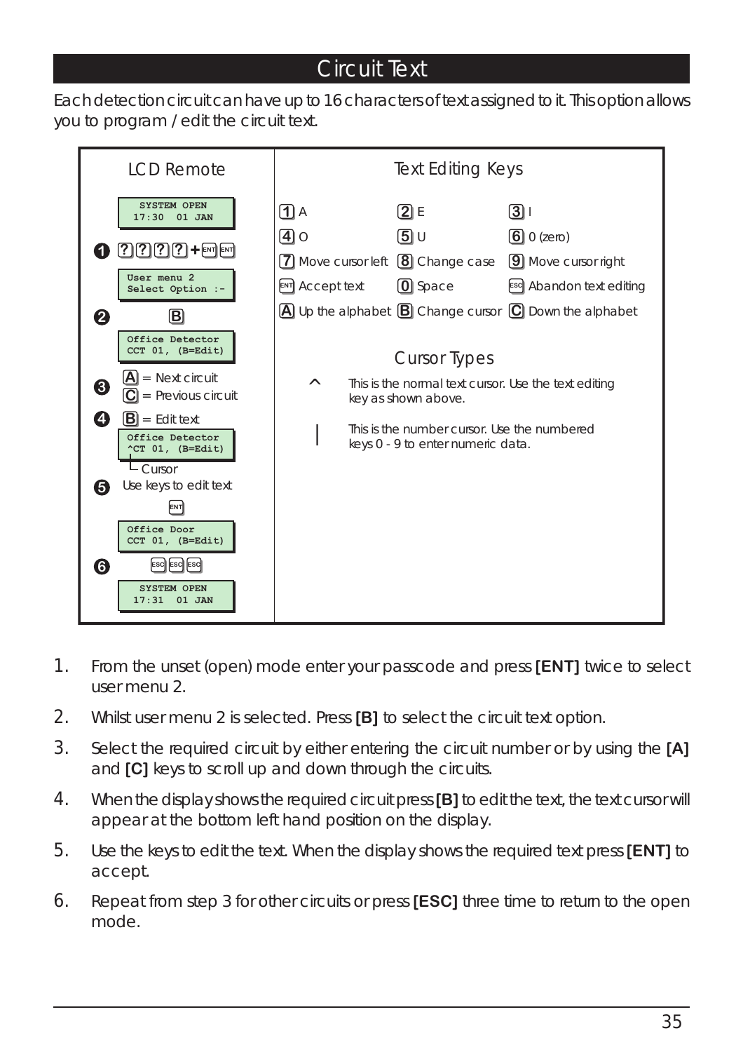#### Circuit Text

Each detection circuit can have up to 16 characters of text assigned to it. This option allows you to program / edit the circuit text.



- 1. From the unset (open) mode enter your passcode and press **[ENT]** twice to select user menu 2.
- 2. Whilst user menu 2 is selected. Press **[B]** to select the circuit text option.
- 3. Select the required circuit by either entering the circuit number or by using the **[A]** and **[C]** keys to scroll up and down through the circuits.
- 4. When the display shows the required circuit press**[B]** to edit the text, the text cursor will appear at the bottom left hand position on the display.
- 5. Use the keys to edit the text. When the display shows the required text press **[ENT]** to accept.
- 6. Repeat from step 3 for other circuits or press **[ESC]** three time to return to the open mode.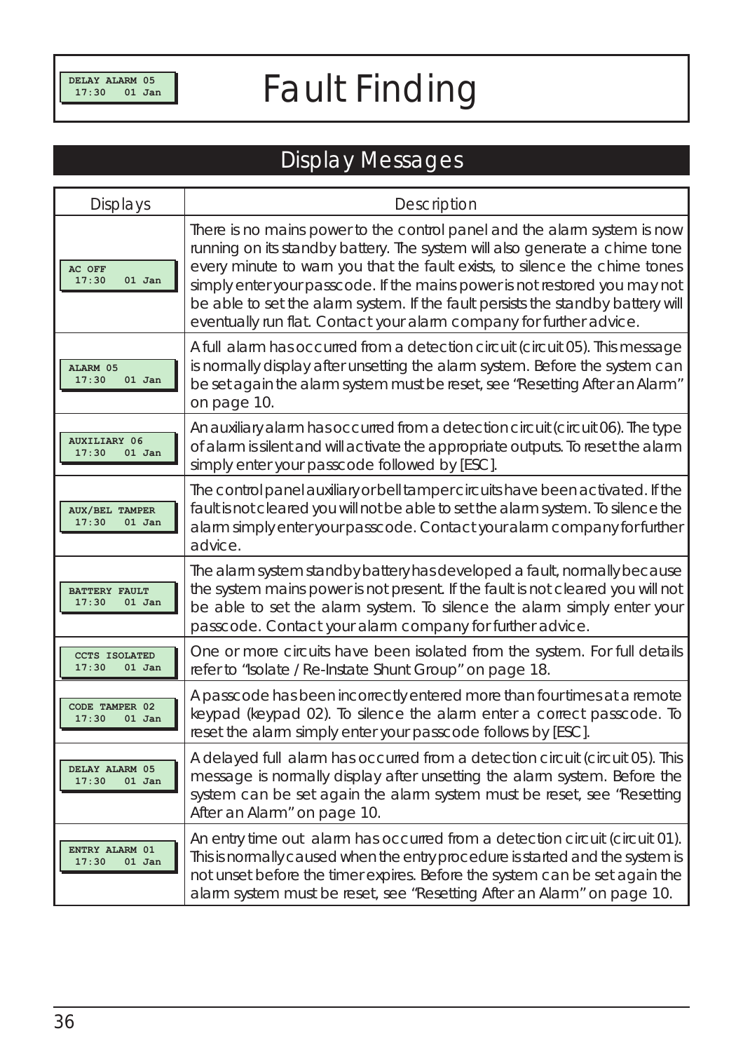## *Fault Finding*

### Display Messages

| <b>Displays</b>                            | <b>Description</b>                                                                                                                                                                                                                                                                                                                                                                                                                                                           |
|--------------------------------------------|------------------------------------------------------------------------------------------------------------------------------------------------------------------------------------------------------------------------------------------------------------------------------------------------------------------------------------------------------------------------------------------------------------------------------------------------------------------------------|
| AC OFF<br>17:30<br>$01$ Jan                | There is no mains power to the control panel and the alarm system is now<br>running on its standby battery. The system will also generate a chime tone<br>every minute to warn you that the fault exists, to silence the chime tones<br>simply enter your passcode. If the mains power is not restored you may not<br>be able to set the alarm system. If the fault persists the standby battery will<br>eventually run flat. Contact your alarm company for further advice. |
| ALARM 05<br>17:30<br>$01$ Jan              | A full alarm has occurred from a detection circuit (circuit 05). This message<br>is normally display after unsetting the alarm system. Before the system can<br>be set again the alarm system must be reset, see "Resetting After an Alarm"<br>on page 10.                                                                                                                                                                                                                   |
| <b>AUXILIARY 06</b><br>17:30<br>$01$ Jan   | An auxiliary alarm has occurred from a detection circuit (circuit 06). The type<br>of alarm is silent and will activate the appropriate outputs. To reset the alarm<br>simply enter your passcode followed by [ESC].                                                                                                                                                                                                                                                         |
| <b>AUX/BEL TAMPER</b><br>17:30<br>$01$ Jan | The control panel auxiliary or bell tamper circuits have been activated. If the<br>fault is not cleared you will not be able to set the alarm system. To silence the<br>alarm simply enter your passcode. Contact your alarm company for further<br>advice.                                                                                                                                                                                                                  |
| <b>BATTERY FAULT</b><br>17:30<br>$01$ Jan  | The alarm system standby battery has developed a fault, normally because<br>the system mains power is not present. If the fault is not cleared you will not<br>be able to set the alarm system. To silence the alarm simply enter your<br>passcode. Contact your alarm company for further advice.                                                                                                                                                                           |
| <b>CCTS ISOLATED</b><br>17:30<br>$01$ Jan  | One or more circuits have been isolated from the system. For full details<br>refer to "Isolate / Re-Instate Shunt Group" on page 18.                                                                                                                                                                                                                                                                                                                                         |
| CODE TAMPER 02<br>17:30<br>$01$ Jan        | A passcode has been incorrectly entered more than four times at a remote<br>keypad (keypad 02). To silence the alarm enter a correct passcode. To<br>reset the alarm simply enter your passcode follows by [ESC].                                                                                                                                                                                                                                                            |
| DELAY ALARM 05<br>17:30<br>$01$ Jan        | A delayed full alarm has occurred from a detection circuit (circuit 05). This<br>message is normally display after unsetting the alarm system. Before the<br>system can be set again the alarm system must be reset, see "Resetting<br>After an Alarm" on page 10.                                                                                                                                                                                                           |
| ENTRY ALARM 01<br>17:30<br>01 Jan          | An entry time out alarm has occurred from a detection circuit (circuit 01).<br>This is normally caused when the entry procedure is started and the system is<br>not unset before the timer expires. Before the system can be set again the<br>alarm system must be reset, see "Resetting After an Alarm" on page 10.                                                                                                                                                         |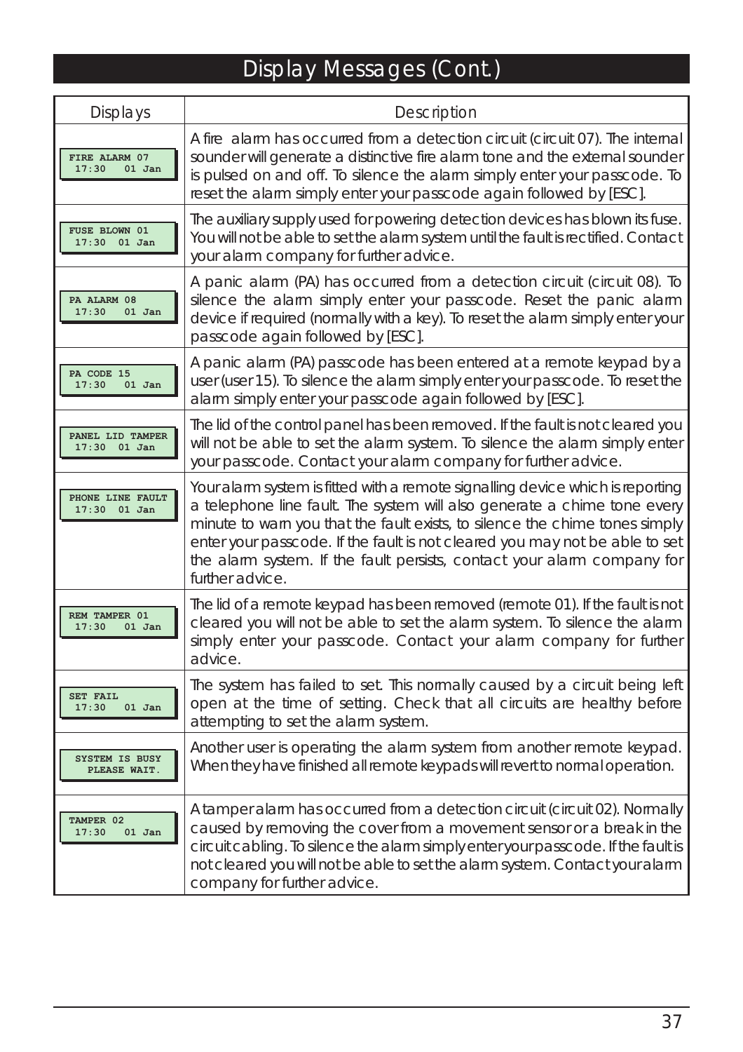## Display Messages (Cont.)

| <b>Displays</b>                        | <b>Description</b>                                                                                                                                                                                                                                                                                                                                                                                                     |
|----------------------------------------|------------------------------------------------------------------------------------------------------------------------------------------------------------------------------------------------------------------------------------------------------------------------------------------------------------------------------------------------------------------------------------------------------------------------|
| FIRE ALARM 07<br>17:30<br>$01$ Jan     | A fire alarm has occurred from a detection circuit (circuit 07). The internal<br>sounder will generate a distinctive fire alarm tone and the external sounder<br>is pulsed on and off. To silence the alarm simply enter your passcode. To<br>reset the alarm simply enter your passcode again followed by [ESC].                                                                                                      |
| <b>FUSE BLOWN 01</b><br>$17:30$ 01 Jan | The auxiliary supply used for powering detection devices has blown its fuse.<br>You will not be able to set the alarm system until the fault is rectified. Contact<br>your alarm company for further advice.                                                                                                                                                                                                           |
| PA ALARM 08<br>17:30<br>$01$ Jan       | A panic alarm (PA) has occurred from a detection circuit (circuit 08). To<br>silence the alarm simply enter your passcode. Reset the panic alarm<br>device if required (normally with a key). To reset the alarm simply enter your<br>passcode again followed by [ESC].                                                                                                                                                |
| PA CODE 15<br>17:30<br>$01$ Jan        | A panic alarm (PA) passcode has been entered at a remote keypad by a<br>user (user 15). To silence the alarm simply enter your passcode. To reset the<br>alarm simply enter your passcode again followed by [ESC].                                                                                                                                                                                                     |
| PANEL LID TAMPER<br>$17:30$ 01 Jan     | The lid of the control panel has been removed. If the fault is not cleared you<br>will not be able to set the alarm system. To silence the alarm simply enter<br>your passcode. Contact your alarm company for further advice.                                                                                                                                                                                         |
| PHONE LINE FAULT<br>$17:30$ 01 Jan     | Your alarm system is fitted with a remote signalling device which is reporting<br>a telephone line fault. The system will also generate a chime tone every<br>minute to warn you that the fault exists, to silence the chime tones simply<br>enter your passcode. If the fault is not cleared you may not be able to set<br>the alarm system. If the fault persists, contact your alarm company for<br>further advice. |
| REM TAMPER 01<br>17:30<br>$01$ Jan     | The lid of a remote keypad has been removed (remote 01). If the fault is not<br>cleared you will not be able to set the alarm system. To silence the alarm<br>simply enter your passcode. Contact your alarm company for further<br>advice.                                                                                                                                                                            |
| <b>SET FAIL</b><br>17:30<br>$01$ Jan   | The system has failed to set. This normally caused by a circuit being left<br>open at the time of setting. Check that all circuits are healthy before<br>attempting to set the alarm system.                                                                                                                                                                                                                           |
| SYSTEM IS BUSY<br>PLEASE WAIT.         | Another user is operating the alarm system from another remote keypad.<br>When they have finished all remote keypads will revert to normal operation.                                                                                                                                                                                                                                                                  |
| TAMPER 02<br>17:30<br>$01$ Jan         | A tamper alarm has occurred from a detection circuit (circuit 02). Normally<br>caused by removing the cover from a movement sensor or a break in the<br>circuit cabling. To silence the alarm simply enter your passcode. If the fault is<br>not cleared you will not be able to set the alarm system. Contact your alarm<br>company for further advice.                                                               |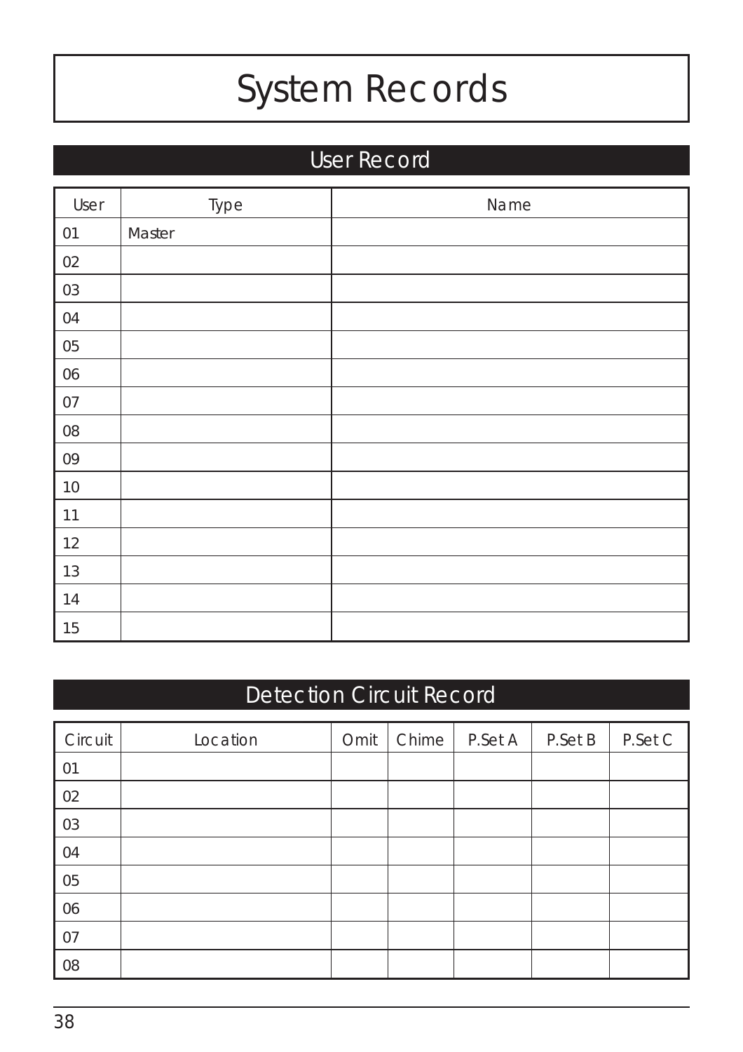## *System Records*

### User Record

| User | Type   | Name |
|------|--------|------|
| 01   | Master |      |
| 02   |        |      |
| 03   |        |      |
| 04   |        |      |
| 05   |        |      |
| 06   |        |      |
| 07   |        |      |
| 08   |        |      |
| 09   |        |      |
| $10$ |        |      |
| 11   |        |      |
| 12   |        |      |
| 13   |        |      |
| 14   |        |      |
| 15   |        |      |

### Detection Circuit Record

| Circuit | Location | Omit | Chime <sup></sup> | P.Set A | P.Set B | P.Set C |
|---------|----------|------|-------------------|---------|---------|---------|
| 01      |          |      |                   |         |         |         |
| 02      |          |      |                   |         |         |         |
| 03      |          |      |                   |         |         |         |
| 04      |          |      |                   |         |         |         |
| 05      |          |      |                   |         |         |         |
| 06      |          |      |                   |         |         |         |
| 07      |          |      |                   |         |         |         |
| 08      |          |      |                   |         |         |         |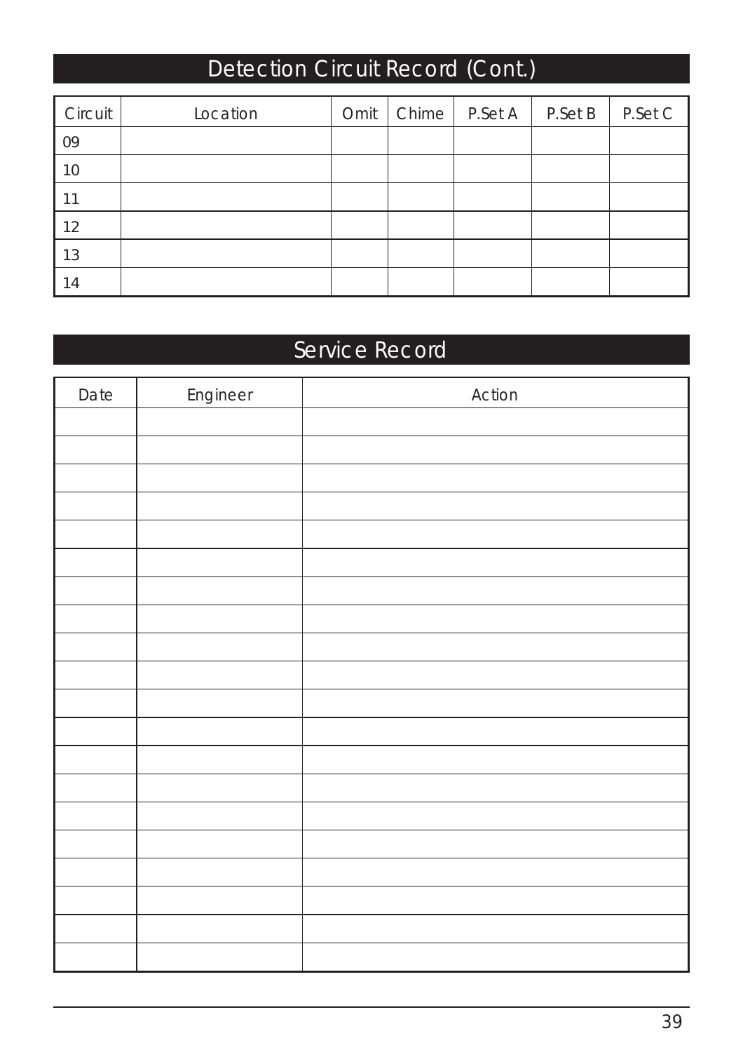### Detection Circuit Record (Cont.)

| Circuit | Location | Omit | Chime   P.Set A | P.Set B | P.Set C |
|---------|----------|------|-----------------|---------|---------|
| 09      |          |      |                 |         |         |
| 10      |          |      |                 |         |         |
| 11      |          |      |                 |         |         |
| 12      |          |      |                 |         |         |
| 13      |          |      |                 |         |         |
| 14      |          |      |                 |         |         |

### Service Record

| Date | Engineer | Action |
|------|----------|--------|
|      |          |        |
|      |          |        |
|      |          |        |
|      |          |        |
|      |          |        |
|      |          |        |
|      |          |        |
|      |          |        |
|      |          |        |
|      |          |        |
|      |          |        |
|      |          |        |
|      |          |        |
|      |          |        |
|      |          |        |
|      |          |        |
|      |          |        |
|      |          |        |
|      |          |        |
|      |          |        |